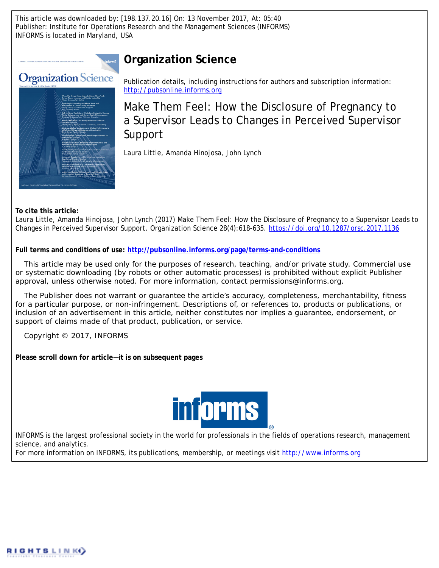This article was downloaded by: [198.137.20.16] On: 13 November 2017, At: 05:40 Publisher: Institute for Operations Research and the Management Sciences (INFORMS) INFORMS is located in Maryland, USA



# **Organization Science**



Publication details, including instructions for authors and subscription information: <http://pubsonline.informs.org>

Make Them Feel: How the Disclosure of Pregnancy to a Supervisor Leads to Changes in Perceived Supervisor Support

Laura Little, Amanda Hinojosa, John Lynch

**Organization Science**

**To cite this article:**

Laura Little, Amanda Hinojosa, John Lynch (2017) Make Them Feel: How the Disclosure of Pregnancy to a Supervisor Leads to Changes in Perceived Supervisor Support. Organization Science 28(4):618-635. <https://doi.org/10.1287/orsc.2017.1136>

**Full terms and conditions of use: <http://pubsonline.informs.org/page/terms-and-conditions>**

This article may be used only for the purposes of research, teaching, and/or private study. Commercial use or systematic downloading (by robots or other automatic processes) is prohibited without explicit Publisher approval, unless otherwise noted. For more information, contact permissions@informs.org.

The Publisher does not warrant or guarantee the article's accuracy, completeness, merchantability, fitness for a particular purpose, or non-infringement. Descriptions of, or references to, products or publications, or inclusion of an advertisement in this article, neither constitutes nor implies a guarantee, endorsement, or support of claims made of that product, publication, or service.

Copyright © 2017, INFORMS

**Please scroll down for article—it is on subsequent pages**



INFORMS is the largest professional society in the world for professionals in the fields of operations research, management science, and analytics.

For more information on INFORMS, its publications, membership, or meetings visit <http://www.informs.org>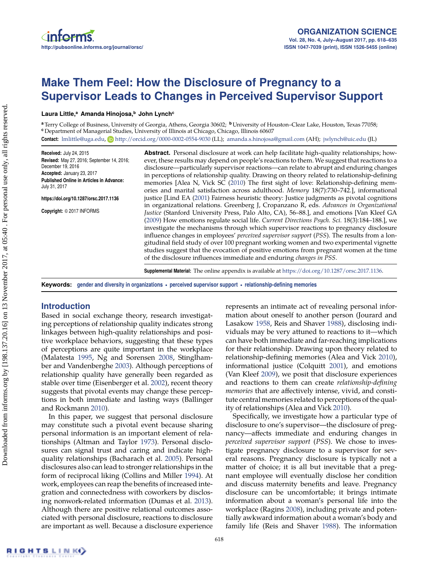# **Make Them Feel: How the Disclosure of Pregnancy to a Supervisor Leads to Changes in Perceived Supervisor Support**

**Laura Little,<sup>a</sup> Amanda Hinojosa,<sup>b</sup> John Lynch<sup>c</sup>**

**<sup>a</sup>** Terry College of Business, University of Georgia, Athens, Georgia 30602; **<sup>b</sup>** University of Houston–Clear Lake, Houston, Texas 77058; **<sup>c</sup>** Department of Managerial Studies, University of Illinois at Chicago, Chicago, Illinois 60607 **Contact:** [lmlittle@uga.edu,](mailto:lmlittle@uga.edu) <http://orcid.org/0000-0002-0554-9030> (LL); [amanda.s.hinojosa@gmail.com](mailto:amanda.s.hinojosa@gmail.com) (AH); [jwlynch@uic.edu](mailto:jwlynch@uic.edu) (JL)

**Received:** July 24, 2015 **Revised:** May 27, 2016; September 14, 2016; December 19, 2016 **Accepted:** January 23, 2017 **Published Online in Articles in Advance:** July 31, 2017

**https://doi.org/10.1287/orsc.2017.1136**

**Copyright:** © 2017 INFORMS

**Abstract.** Personal disclosure at work can help facilitate high-quality relationships; however, these results may depend on people's reactions to them. We suggest that reactions to a disclosure—particularly supervisor reactions—can relate to abrupt and enduring changes in perceptions of relationship quality. Drawing on theory related to relationship-defining memories [Alea N, Vick SC [\(2010\)](#page-16-0) The first sight of love: Relationship-defining memories and marital satisfaction across adulthood. *Memory* 18(7):730–742.], informational justice [Lind EA [\(2001\)](#page-17-0) Fairness heuristic theory: Justice judgments as pivotal cognitions in organizational relations. Greenberg J, Cropanzano R, eds. *Advances in Organizational Justice* (Stanford University Press, Palo Alto, CA), 56–88.], and emotions [Van Kleef GA [\(2009\)](#page-18-0) How emotions regulate social life. *Current Directions Psych. Sci.* 18(3):184–188.], we investigate the mechanisms through which supervisor reactions to pregnancy disclosure influence changes in employees' *perceived supervisor support* (*PSS*). The results from a longitudinal field study of over 100 pregnant working women and two experimental vignette studies suggest that the evocation of positive emotions from pregnant women at the time of the disclosure influences immediate and enduring *changes in PSS*.

**Supplemental Material:** The online appendix is available at [https://doi.org/10.1287/orsc.2017.1136.](https://doi.org/10.1287/orsc.2017.1136)

**Keywords: gender and diversity in organizations • perceived supervisor support • relationship-defining memories**

# **Introduction**

Based in social exchange theory, research investigating perceptions of relationship quality indicates strong linkages between high-quality relationships and positive workplace behaviors, suggesting that these types of perceptions are quite important in the workplace (Malatesta [1995,](#page-17-1) Ng and Sorensen [2008,](#page-18-1) Stinglhamber and Vandenberghe [2003\)](#page-18-2). Although perceptions of relationship quality have generally been regarded as stable over time (Eisenberger et al. [2002\)](#page-17-2), recent theory suggests that pivotal events may change these perceptions in both immediate and lasting ways (Ballinger and Rockmann [2010\)](#page-16-1).

In this paper, we suggest that personal disclosure may constitute such a pivotal event because sharing personal information is an important element of relationships (Altman and Taylor [1973\)](#page-16-2). Personal disclosures can signal trust and caring and indicate highquality relationships (Bacharach et al. [2005\)](#page-16-3). Personal disclosures also can lead to stronger relationships in the form of reciprocal liking (Collins and Miller [1994\)](#page-17-3). At work, employees can reap the benefits of increased integration and connectedness with coworkers by disclosing nonwork-related information (Dumas et al. [2013\)](#page-17-4). Although there are positive relational outcomes associated with personal disclosure, reactions to disclosure are important as well. Because a disclosure experience represents an intimate act of revealing personal information about oneself to another person (Jourard and Lasakow [1958,](#page-17-5) Reis and Shaver [1988\)](#page-18-3), disclosing individuals may be very attuned to reactions to it—which can have both immediate and far-reaching implications for their relationship. Drawing upon theory related to relationship-defining memories (Alea and Vick [2010\)](#page-16-0), informational justice (Colquitt [2001\)](#page-17-6), and emotions (Van Kleef [2009\)](#page-18-0), we posit that disclosure experiences and reactions to them can create *relationship-defining memories* that are affectively intense, vivid, and constitute central memories related to perceptions of the quality of relationships (Alea and Vick [2010\)](#page-16-0).

Specifically, we investigate how a particular type of disclosure to one's supervisor—the disclosure of pregnancy—affects immediate and enduring changes in *perceived supervisor support* (*PSS*). We chose to investigate pregnancy disclosure to a supervisor for several reasons. Pregnancy disclosure is typically not a matter of choice; it is all but inevitable that a pregnant employee will eventually disclose her condition and discuss maternity benefits and leave. Pregnancy disclosure can be uncomfortable; it brings intimate information about a woman's personal life into the workplace (Ragins [2008\)](#page-18-4), including private and potentially awkward information about a woman's body and family life (Reis and Shaver [1988\)](#page-18-3). The information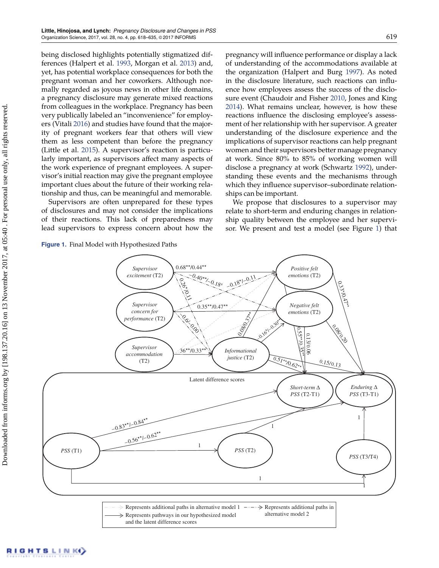being disclosed highlights potentially stigmatized differences (Halpert et al. [1993,](#page-17-7) Morgan et al. [2013\)](#page-18-5) and, yet, has potential workplace consequences for both the pregnant woman and her coworkers. Although normally regarded as joyous news in other life domains, a pregnancy disclosure may generate mixed reactions from colleagues in the workplace. Pregnancy has been very publically labeled an "inconvenience" for employers (Vitali [2016\)](#page-18-6) and studies have found that the majority of pregnant workers fear that others will view them as less competent than before the pregnancy (Little et al. [2015\)](#page-17-8). A supervisor's reaction is particularly important, as supervisors affect many aspects of the work experience of pregnant employees. A supervisor's initial reaction may give the pregnant employee important clues about the future of their working relationship and thus, can be meaningful and memorable.

Supervisors are often unprepared for these types of disclosures and may not consider the implications of their reactions. This lack of preparedness may lead supervisors to express concern about how the

<span id="page-2-0"></span>**Figure 1.** Final Model with Hypothesized Paths

pregnancy will influence performance or display a lack of understanding of the accommodations available at the organization (Halpert and Burg [1997\)](#page-17-9). As noted in the disclosure literature, such reactions can influence how employees assess the success of the disclosure event (Chaudoir and Fisher [2010,](#page-17-10) Jones and King [2014\)](#page-17-11). What remains unclear, however, is how these reactions influence the disclosing employee's assessment of her relationship with her supervisor. A greater understanding of the disclosure experience and the implications of supervisor reactions can help pregnant women and their supervisors better manage pregnancy at work. Since 80% to 85% of working women will disclose a pregnancy at work (Schwartz [1992\)](#page-18-7), understanding these events and the mechanisms through which they influence supervisor–subordinate relationships can be important.

We propose that disclosures to a supervisor may relate to short-term and enduring changes in relationship quality between the employee and her supervisor. We present and test a model (see Figure [1\)](#page-2-0) that

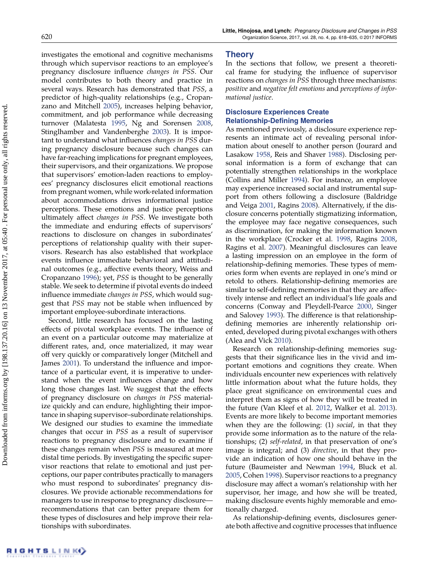investigates the emotional and cognitive mechanisms through which supervisor reactions to an employee's pregnancy disclosure influence *changes in PSS*. Our model contributes to both theory and practice in several ways. Research has demonstrated that *PSS*, a predictor of high-quality relationships (e.g., Cropanzano and Mitchell [2005\)](#page-17-12), increases helping behavior, commitment, and job performance while decreasing turnover (Malatesta [1995,](#page-17-1) Ng and Sorensen [2008,](#page-18-1) Stinglhamber and Vandenberghe [2003\)](#page-18-2). It is important to understand what influences *changes in PSS* during pregnancy disclosure because such changes can have far-reaching implications for pregnant employees, their supervisors, and their organizations. We propose that supervisors' emotion-laden reactions to employees' pregnancy disclosures elicit emotional reactions from pregnant women, while work-related information about accommodations drives informational justice perceptions. These emotions and justice perceptions ultimately affect *changes in PSS*. We investigate both the immediate and enduring effects of supervisors' reactions to disclosure on changes in subordinates' perceptions of relationship quality with their supervisors. Research has also established that workplace events influence immediate behavioral and attitudinal outcomes (e.g., affective events theory, Weiss and Cropanzano [1996\)](#page-18-8); yet, *PSS* is thought to be generally stable. We seek to determine if pivotal events do indeed influence immediate *changes in PSS*, which would suggest that *PSS* may not be stable when influenced by important employee-subordinate interactions.

Second, little research has focused on the lasting effects of pivotal workplace events. The influence of an event on a particular outcome may materialize at different rates, and, once materialized, it may wear off very quickly or comparatively longer (Mitchell and James [2001\)](#page-18-9). To understand the influence and importance of a particular event, it is imperative to understand when the event influences change and how long those changes last. We suggest that the effects of pregnancy disclosure on *changes in PSS* materialize quickly and can endure, highlighting their importance in shaping supervisor–subordinate relationships. We designed our studies to examine the immediate changes that occur in *PSS* as a result of supervisor reactions to pregnancy disclosure and to examine if these changes remain when *PSS* is measured at more distal time periods. By investigating the specific supervisor reactions that relate to emotional and just perceptions, our paper contributes practically to managers who must respond to subordinates' pregnancy disclosures. We provide actionable recommendations for managers to use in response to pregnancy disclosure recommendations that can better prepare them for these types of disclosures and help improve their relationships with subordinates.

### **Theory**

In the sections that follow, we present a theoretical frame for studying the influence of supervisor reactions on *changes in PSS* through three mechanisms: *positive* and *negative felt emotions* and *perceptions of informational justice*.

### **Disclosure Experiences Create Relationship-Defining Memories**

As mentioned previously, a disclosure experience represents an intimate act of revealing personal information about oneself to another person (Jourard and Lasakow [1958,](#page-17-5) Reis and Shaver [1988\)](#page-18-3). Disclosing personal information is a form of exchange that can potentially strengthen relationships in the workplace (Collins and Miller [1994\)](#page-17-3). For instance, an employee may experience increased social and instrumental support from others following a disclosure (Baldridge and Veiga [2001,](#page-16-4) Ragins [2008\)](#page-18-4). Alternatively, if the disclosure concerns potentially stigmatizing information, the employee may face negative consequences, such as discrimination, for making the information known in the workplace (Crocker et al. [1998,](#page-17-13) Ragins [2008,](#page-18-4) Ragins et al. [2007\)](#page-18-10). Meaningful disclosures can leave a lasting impression on an employee in the form of relationship-defining memories. These types of memories form when events are replayed in one's mind or retold to others. Relationship-defining memories are similar to self-defining memories in that they are affectively intense and reflect an individual's life goals and concerns (Conway and Pleydell-Pearce [2000,](#page-17-14) Singer and Salovey [1993\)](#page-18-11). The difference is that relationshipdefining memories are inherently relationship oriented, developed during pivotal exchanges with others (Alea and Vick [2010\)](#page-16-0).

Research on relationship-defining memories suggests that their significance lies in the vivid and important emotions and cognitions they create. When individuals encounter new experiences with relatively little information about what the future holds, they place great significance on environmental cues and interpret them as signs of how they will be treated in the future (Van Kleef et al. [2012,](#page-18-12) Walker et al. [2013\)](#page-18-13). Events are more likely to become important memories when they are the following: (1) *social*, in that they provide some information as to the nature of the relationships; (2) *self-related*, in that preservation of one's image is integral; and (3) *directive*, in that they provide an indication of how one should behave in the future (Baumeister and Newman [1994,](#page-17-15) Bluck et al. [2005,](#page-17-16) Cohen [1998\)](#page-17-17). Supervisor reactions to a pregnancy disclosure may affect a woman's relationship with her supervisor, her image, and how she will be treated, making disclosure events highly memorable and emotionally charged.

As relationship-defining events, disclosures generate both affective and cognitive processes that influence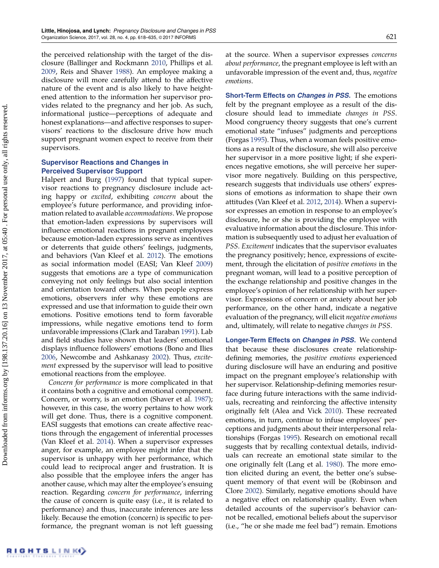the perceived relationship with the target of the disclosure (Ballinger and Rockmann [2010,](#page-16-1) Phillips et al. [2009,](#page-18-14) Reis and Shaver [1988\)](#page-18-3). An employee making a disclosure will more carefully attend to the affective nature of the event and is also likely to have heightened attention to the information her supervisor provides related to the pregnancy and her job. As such, informational justice—perceptions of adequate and honest explanations—and affective responses to supervisors' reactions to the disclosure drive how much support pregnant women expect to receive from their supervisors.

#### **Supervisor Reactions and Changes in Perceived Supervisor Support**

Halpert and Burg [\(1997\)](#page-17-9) found that typical supervisor reactions to pregnancy disclosure include acting happy or *excited*, exhibiting *concern* about the employee's future performance, and providing information related to available *accommodations*. We propose that emotion-laden expressions by supervisors will influence emotional reactions in pregnant employees because emotion-laden expressions serve as incentives or deterrents that guide others' feelings, judgments, and behaviors (Van Kleef et al. [2012\)](#page-18-12). The emotions as social information model (EASI; Van Kleef [2009\)](#page-18-0) suggests that emotions are a type of communication conveying not only feelings but also social intention and orientation toward others. When people express emotions, observers infer why these emotions are expressed and use that information to guide their own emotions. Positive emotions tend to form favorable impressions, while negative emotions tend to form unfavorable impressions (Clark and Taraban [1991\)](#page-17-18). Lab and field studies have shown that leaders' emotional displays influence followers' emotions (Bono and Ilies [2006,](#page-17-19) Newcombe and Ashkanasy [2002\)](#page-18-15). Thus, *excitement* expressed by the supervisor will lead to positive emotional reactions from the employee.

*Concern for performance* is more complicated in that it contains both a cognitive and emotional component. Concern, or worry, is an emotion (Shaver et al. [1987\)](#page-18-16); however, in this case, the worry pertains to how work will get done. Thus, there is a cognitive component. EASI suggests that emotions can create affective reactions through the engagement of inferential processes (Van Kleef et al. [2014\)](#page-18-17). When a supervisor expresses anger, for example, an employee might infer that the supervisor is unhappy with her performance, which could lead to reciprocal anger and frustration. It is also possible that the employee infers the anger has another cause, which may alter the employee's ensuing reaction. Regarding *concern for performance*, inferring the cause of concern is quite easy (i.e., it is related to performance) and thus, inaccurate inferences are less likely. Because the emotion (concern) is specific to performance, the pregnant woman is not left guessing at the source. When a supervisor expresses *concerns about performance*, the pregnant employee is left with an unfavorable impression of the event and, thus, *negative emotions*.

**Short-Term Effects on** *Changes in PSS***.** The emotions felt by the pregnant employee as a result of the disclosure should lead to immediate *changes in PSS*. Mood congruency theory suggests that one's current emotional state "infuses" judgments and perceptions (Forgas [1995\)](#page-17-20). Thus, when a woman feels positive emotions as a result of the disclosure, she will also perceive her supervisor in a more positive light; if she experiences negative emotions, she will perceive her supervisor more negatively. Building on this perspective, research suggests that individuals use others' expressions of emotions as information to shape their own attitudes (Van Kleef et al. [2012,](#page-18-12) [2014\)](#page-18-17). When a supervisor expresses an emotion in response to an employee's disclosure, he or she is providing the employee with evaluative information about the disclosure. This information is subsequently used to adjust her evaluation of *PSS*. *Excitement* indicates that the supervisor evaluates the pregnancy positively; hence, expressions of excitement, through the elicitation of *positive emotions* in the pregnant woman, will lead to a positive perception of the exchange relationship and positive changes in the employee's opinion of her relationship with her supervisor. Expressions of concern or anxiety about her job performance, on the other hand, indicate a negative evaluation of the pregnancy, will elicit *negative emotions* and, ultimately, will relate to negative *changes in PSS*.

**Longer-Term Effects on** *Changes in PSS***.** We contend that because these disclosures create relationshipdefining memories, the *positive emotions* experienced during disclosure will have an enduring and positive impact on the pregnant employee's relationship with her supervisor. Relationship-defining memories resurface during future interactions with the same individuals, recreating and reinforcing the affective intensity originally felt (Alea and Vick [2010\)](#page-16-0). These recreated emotions, in turn, continue to infuse employees' perceptions and judgments about their interpersonal relationships (Forgas [1995\)](#page-17-20). Research on emotional recall suggests that by recalling contextual details, individuals can recreate an emotional state similar to the one originally felt (Lang et al. [1980\)](#page-17-21). The more emotion elicited during an event, the better one's subsequent memory of that event will be (Robinson and Clore [2002\)](#page-18-18). Similarly, negative emotions should have a negative effect on relationship quality. Even when detailed accounts of the supervisor's behavior cannot be recalled, emotional beliefs about the supervisor (i.e., "he or she made me feel bad") remain. Emotions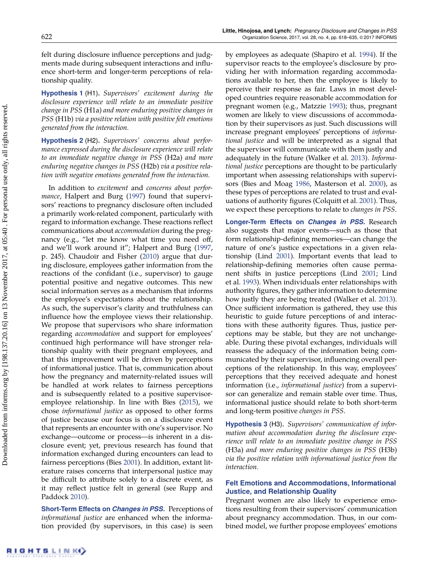felt during disclosure influence perceptions and judgments made during subsequent interactions and influence short-term and longer-term perceptions of relationship quality.

<span id="page-5-0"></span>**Hypothesis 1** (H1)**.** *Supervisors' excitement during the disclosure experience will relate to an immediate positive change in PSS* (H1a) *and more enduring positive changes in PSS* (H1b) *via a positive relation with positive felt emotions generated from the interaction.*

<span id="page-5-1"></span>**Hypothesis 2** (H2)**.** *Supervisors' concerns about performance expressed during the disclosure experience will relate to an immediate negative change in PSS* (H2a) *and more enduring negative changes in PSS* (H2b) *via a positive relation with negative emotions generated from the interaction.*

In addition to *excitement* and *concerns about performance*, Halpert and Burg [\(1997\)](#page-17-9) found that supervisors' reactions to pregnancy disclosure often included a primarily work-related component, particularly with regard to information exchange. These reactions reflect communications about *accommodation* during the pregnancy (e.g., "let me know what time you need off, and we'll work around it"; Halpert and Burg [\(1997,](#page-17-9) p. 245). Chaudoir and Fisher [\(2010\)](#page-17-10) argue that during disclosure, employees gather information from the reactions of the confidant (i.e., supervisor) to gauge potential positive and negative outcomes. This new social information serves as a mechanism that informs the employee's expectations about the relationship. As such, the supervisor's clarity and truthfulness can influence how the employee views their relationship. We propose that supervisors who share information regarding *accommodation* and support for employees' continued high performance will have stronger relationship quality with their pregnant employees, and that this improvement will be driven by perceptions of informational justice. That is, communication about how the pregnancy and maternity-related issues will be handled at work relates to fairness perceptions and is subsequently related to a positive supervisoremployee relationship. In line with Bies [\(2015\)](#page-17-22), we chose *informational justice* as opposed to other forms of justice because our focus is on a disclosure event that represents an encounter with one's supervisor. No exchange—outcome or process—is inherent in a disclosure event; yet, previous research has found that information exchanged during encounters can lead to fairness perceptions (Bies [2001\)](#page-17-23). In addition, extant literature raises concerns that interpersonal justice may be difficult to attribute solely to a discrete event, as it may reflect justice felt in general (see Rupp and Paddock [2010\)](#page-18-19).

**Short-Term Effects on** *Changes in PSS***.** Perceptions of *informational justice* are enhanced when the information provided (by supervisors, in this case) is seen by employees as adequate (Shapiro et al. [1994\)](#page-18-20). If the supervisor reacts to the employee's disclosure by providing her with information regarding accommodations available to her, then the employee is likely to perceive their response as fair. Laws in most developed countries require reasonable accommodation for pregnant women (e.g., Matzzie [1993\)](#page-17-24); thus, pregnant women are likely to view discussions of accommodation by their supervisors as just. Such discussions will increase pregnant employees' perceptions of *informational justice* and will be interpreted as a signal that the supervisor will communicate with them justly and adequately in the future (Walker et al. [2013\)](#page-18-13). *Informational justice* perceptions are thought to be particularly important when assessing relationships with supervisors (Bies and Moag [1986,](#page-17-25) Masterson et al. [2000\)](#page-17-26), as these types of perceptions are related to trust and evaluations of authority figures (Colquitt et al. [2001\)](#page-17-27). Thus, we expect these perceptions to relate to *changes in PSS*.

**Longer-Term Effects on** *Changes in PSS***.** Research also suggests that major events—such as those that form relationship-defining memories—can change the nature of one's justice expectations in a given relationship (Lind [2001\)](#page-17-0). Important events that lead to relationship-defining memories often cause permanent shifts in justice perceptions (Lind [2001;](#page-17-0) Lind et al. [1993\)](#page-17-28). When individuals enter relationships with authority figures, they gather information to determine how justly they are being treated (Walker et al. [2013\)](#page-18-13). Once sufficient information is gathered, they use this heuristic to guide future perceptions of and interactions with these authority figures. Thus, justice perceptions may be stable, but they are not unchangeable. During these pivotal exchanges, individuals will reassess the adequacy of the information being communicated by their supervisor, influencing overall perceptions of the relationship. In this way, employees' perceptions that they received adequate and honest information (i.e., *informational justice*) from a supervisor can generalize and remain stable over time. Thus, informational justice should relate to both short-term and long-term positive *changes in PSS*.

<span id="page-5-2"></span>**Hypothesis 3** (H3)**.** *Supervisors' communication of information about accommodation during the disclosure experience will relate to an immediate positive change in PSS* (H3a) *and more enduring positive changes in PSS* (H3b) *via the positive relation with informational justice from the interaction.*

### **Felt Emotions and Accommodations, Informational Justice, and Relationship Quality**

Pregnant women are also likely to experience emotions resulting from their supervisors' communication about pregnancy accommodation. Thus, in our combined model, we further propose employees' emotions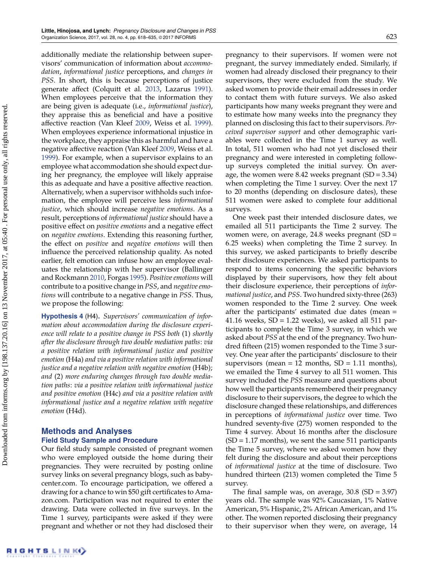additionally mediate the relationship between supervisors' communication of information about *accommodation*, *informational justice* perceptions, and *changes in PSS*. In short, this is because perceptions of justice generate affect (Colquitt et al. [2013,](#page-17-29) Lazarus [1991\)](#page-17-30). When employees perceive that the information they are being given is adequate (i.e., *informational justice*), they appraise this as beneficial and have a positive affective reaction (Van Kleef [2009,](#page-18-0) Weiss et al. [1999\)](#page-18-21). When employees experience informational injustice in the workplace, they appraise this as harmful and have a negative affective reaction (Van Kleef [2009,](#page-18-0) Weiss et al. [1999\)](#page-18-21). For example, when a supervisor explains to an employee what accommodation she should expect during her pregnancy, the employee will likely appraise this as adequate and have a positive affective reaction. Alternatively, when a supervisor withholds such information, the employee will perceive less *informational justice*, which should increase *negative emotions*. As a result, perceptions of *informational justice* should have a positive effect on *positive emotions* and a negative effect on *negative emotions*. Extending this reasoning further, the effect on *positive* and *negative emotions* will then influence the perceived relationship quality. As noted earlier, felt emotion can infuse how an employee evaluates the relationship with her supervisor (Ballinger and Rockmann [2010,](#page-16-1) Forgas [1995\)](#page-17-20). *Positive emotions* will contribute to a positive change in *PSS*, and *negative emotions* will contribute to a negative change in *PSS*. Thus, we propose the following:

<span id="page-6-0"></span>**Hypothesis 4** (H4)**.** *Supervisors' communication of information about accommodation during the disclosure experience will relate to a positive change in PSS both (1) shortly after the disclosure through two double mediation paths: via a positive relation with informational justice and positive emotion* (H4a) *and via a positive relation with informational justice and a negative relation with negative emotion* (H4b)*; and (2) more enduring changes through two double mediation paths: via a positive relation with informational justice and positive emotion* (H4c) *and via a positive relation with informational justice and a negative relation with negative emotion* (H4d)*.*

# **Methods and Analyses Field Study Sample and Procedure**

Our field study sample consisted of pregnant women who were employed outside the home during their pregnancies. They were recruited by posting online survey links on several pregnancy blogs, such as babycenter.com. To encourage participation, we offered a drawing for a chance to win \$50 gift certificates to Amazon.com. Participation was not required to enter the drawing. Data were collected in five surveys. In the Time 1 survey, participants were asked if they were pregnant and whether or not they had disclosed their pregnancy to their supervisors. If women were not pregnant, the survey immediately ended. Similarly, if women had already disclosed their pregnancy to their supervisors, they were excluded from the study. We asked women to provide their email addresses in order to contact them with future surveys. We also asked participants how many weeks pregnant they were and to estimate how many weeks into the pregnancy they planned on disclosing this fact to their supervisors. *Perceived supervisor support* and other demographic variables were collected in the Time 1 survey as well. In total, 511 women who had not yet disclosed their pregnancy and were interested in completing followup surveys completed the initial survey. On average, the women were 8.42 weeks pregnant  $(SD = 3.34)$ when completing the Time 1 survey. Over the next 17 to 20 months (depending on disclosure dates), these 511 women were asked to complete four additional surveys.

One week past their intended disclosure dates, we emailed all 511 participants the Time 2 survey. The women were, on average, 24.8 weeks pregnant (SD 6.25 weeks) when completing the Time 2 survey. In this survey, we asked participants to briefly describe their disclosure experiences. We asked participants to respond to items concerning the specific behaviors displayed by their supervisors, how they felt about their disclosure experience, their perceptions of *informational justice*, and *PSS*. Two hundred sixty-three (263) women responded to the Time 2 survey. One week after the participants' estimated due dates (mean 41.16 weeks,  $SD = 1.22$  weeks), we asked all 511 participants to complete the Time 3 survey, in which we asked about *PSS* at the end of the pregnancy. Two hundred fifteen (215) women responded to the Time 3 survey. One year after the participants' disclosure to their supervisors (mean  $= 12$  months,  $SD = 1.11$  months), we emailed the Time 4 survey to all 511 women. This survey included the *PSS* measure and questions about how well the participants remembered their pregnancy disclosure to their supervisors, the degree to which the disclosure changed these relationships, and differences in perceptions of *informational justice* over time. Two hundred seventy-five (275) women responded to the Time 4 survey. About 16 months after the disclosure  $(SD = 1.17$  months), we sent the same 511 participants the Time 5 survey, where we asked women how they felt during the disclosure and about their perceptions of *informational justice* at the time of disclosure. Two hundred thirteen (213) women completed the Time 5 survey.

The final sample was, on average,  $30.8$  (SD =  $3.97$ ) years old. The sample was 92% Caucasian, 1% Native American, 5% Hispanic, 2% African American, and 1% other. The women reported disclosing their pregnancy to their supervisor when they were, on average, 14

RIGHTS LINK()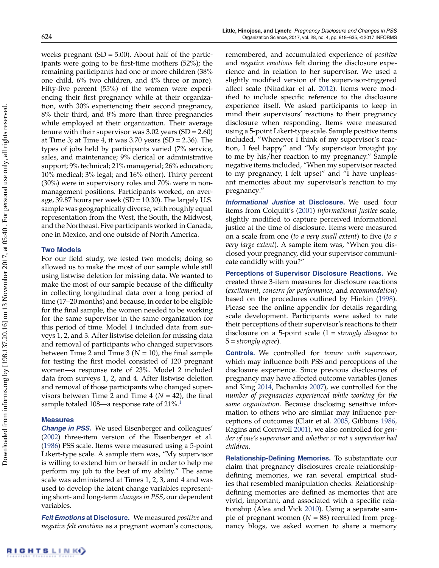weeks pregnant  $(SD = 5.00)$ . About half of the participants were going to be first-time mothers (52%); the remaining participants had one or more children (38% one child, 6% two children, and 4% three or more). Fifty-five percent (55%) of the women were experiencing their first pregnancy while at their organization, with 30% experiencing their second pregnancy, 8% their third, and 8% more than three pregnancies while employed at their organization. Their average tenure with their supervisor was  $3.02$  years (SD =  $2.60$ ) at Time 3; at Time 4, it was  $3.70$  years (SD = 2.36). The types of jobs held by participants varied (7% service, sales, and maintenance; 9% clerical or administrative support; 9% technical; 21% managerial; 26% education; 10% medical; 3% legal; and 16% other). Thirty percent (30%) were in supervisory roles and 70% were in nonmanagement positions. Participants worked, on average, 39.87 hours per week (SD =  $10.30$ ). The largely U.S. sample was geographically diverse, with roughly equal representation from the West, the South, the Midwest, and the Northeast. Five participants worked in Canada, one in Mexico, and one outside of North America.

### **Two Models**

For our field study, we tested two models; doing so allowed us to make the most of our sample while still using listwise deletion for missing data. We wanted to make the most of our sample because of the difficulty in collecting longitudinal data over a long period of time (17–20 months) and because, in order to be eligible for the final sample, the women needed to be working for the same supervisor in the same organization for this period of time. Model 1 included data from surveys 1, 2, and 3. After listwise deletion for missing data and removal of participants who changed supervisors between Time 2 and Time 3 ( $N = 10$ ), the final sample for testing the first model consisted of 120 pregnant women—a response rate of 23%. Model 2 included data from surveys 1, 2, and 4. After listwise deletion and removal of those participants who changed supervisors between Time 2 and Time 4 ( $N = 42$ ), the final sample totaled [1](#page-16-5)08—a response rate of 21%.<sup>1</sup>

# **Measures**

*Change in PSS.* We used Eisenberger and colleagues' [\(2002\)](#page-17-2) three-item version of the Eisenberger et al. [\(1986\)](#page-17-31) PSS scale. Items were measured using a 5-point Likert-type scale. A sample item was, "My supervisor is willing to extend him or herself in order to help me perform my job to the best of my ability." The same scale was administered at Times 1, 2, 3, and 4 and was used to develop the latent change variables representing short- and long-term *changes in PSS*, our dependent variables.

*Felt Emotions* **at Disclosure.** We measured *positive* and *negative felt emotions* as a pregnant woman's conscious,

remembered, and accumulated experience of *positive* and *negative emotions* felt during the disclosure experience and in relation to her supervisor. We used a slightly modified version of the supervisor-triggered affect scale (Nifadkar et al. [2012\)](#page-18-22). Items were modified to include specific reference to the disclosure experience itself. We asked participants to keep in mind their supervisors' reactions to their pregnancy disclosure when responding. Items were measured using a 5-point Likert-type scale. Sample positive items included, "Whenever I think of my supervisor's reaction, I feel happy" and "My supervisor brought joy to me by his/her reaction to my pregnancy." Sample negative items included, "When my supervisor reacted to my pregnancy, I felt upset" and "I have unpleasant memories about my supervisor's reaction to my pregnancy."

*Informational Justice* **at Disclosure.** We used four items from Colquitt's [\(2001\)](#page-17-6) *informational justice* scale, slightly modified to capture perceived informational justice at the time of disclosure. Items were measured on a scale from one (*to a very small extent*) to five (*to a very large extent*). A sample item was, "When you disclosed your pregnancy, did your supervisor communicate candidly with you?"

**Perceptions of Supervisor Disclosure Reactions.** We created three 3-item measures for disclosure reactions (*excitement*, *concern for performance*, and *accommodation*) based on the procedures outlined by Hinkin [\(1998\)](#page-17-32). Please see the online appendix for details regarding scale development. Participants were asked to rate their perceptions of their supervisor's reactions to their disclosure on a 5-point scale (1 *strongly disagree* to 5 *strongly agree*).

<span id="page-7-0"></span>**Controls.** We controlled for *tenure with supervisor*, which may influence both PSS and perceptions of the disclosure experience. Since previous disclosures of pregnancy may have affected outcome variables (Jones and King [2014,](#page-17-11) Pachankis [2007\)](#page-18-23), we controlled for the *number of pregnancies experienced while working for the same organization*. Because disclosing sensitive information to others who are similar may influence perceptions of outcomes (Clair et al. [2005,](#page-17-33) Gibbons [1986,](#page-17-34) Ragins and Cornwell [2001\)](#page-18-24), we also controlled for *gender of one's supervisor* and *whether or not a supervisor had children*.

**Relationship-Defining Memories.** To substantiate our claim that pregnancy disclosures create relationshipdefining memories, we ran several empirical studies that resembled manipulation checks. Relationshipdefining memories are defined as memories that are vivid, important, and associated with a specific relationship (Alea and Vick [2010\)](#page-16-0). Using a separate sample of pregnant women  $(N = 88)$  recruited from pregnancy blogs, we asked women to share a memory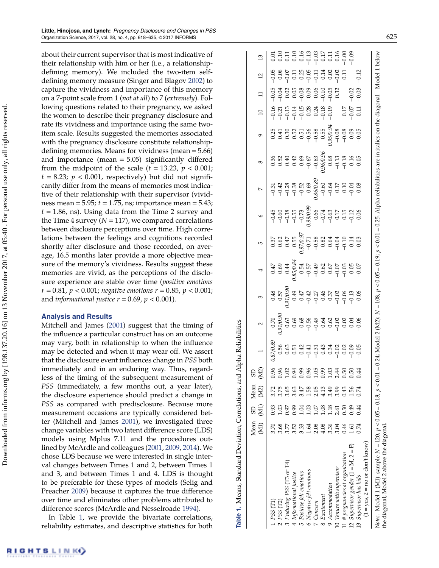about their current supervisor that is most indicative of their relationship with him or her (i.e., a relationshipdefining memory). We included the two-item selfdefining memory measure (Singer and Blagov [2002\)](#page-18-25) to capture the vividness and importance of this memory on a 7-point scale from 1 (*not at all*) to 7 (*extremely*). Following questions related to their pregnancy, we asked the women to describe their pregnancy disclosure and rate its vividness and importance using the same twoitem scale. Results suggested the memories associated with the pregnancy disclosure constitute relationshipdefining memories. Means for vividness (mean  $= 5.66$ ) and importance (mean  $= 5.05$ ) significantly differed from the midpoint of the scale  $(t = 13.23, p < 0.001;$  $t = 8.23$ ;  $p < 0.001$ , respectively) but did not significantly differ from the means of memories most indicative of their relationship with their supervisor (vividness mean =  $5.95$ ;  $t = 1.75$ , ns; importance mean =  $5.43$ ;  $t = 1.86$ , ns). Using data from the Time 2 survey and the Time 4 survey ( $N = 117$ ), we compared correlations between disclosure perceptions over time. High correlations between the feelings and cognitions recorded shortly after disclosure and those recorded, on average, 16.5 months later provide a more objective measure of the memory's vividness. Results suggest these memories are vivid, as the perceptions of the disclosure experience are stable over time (*positive emotions*  $r = 0.81$ ,  $p < 0.001$ ; *negative emotions*  $r = 0.85$ ,  $p < 0.001$ ; and *informational justice*  $r = 0.69$ ,  $p < 0.001$ ).

### **Analysis and Results**

Mitchell and James [\(2001\)](#page-18-9) suggest that the timing of the influence a particular construct has on an outcome may vary, both in relationship to when the influence may be detected and when it may wear off. We assert that the disclosure event influences change in *PSS* both immediately and in an enduring way. Thus, regardless of the timing of the subsequent measurement of *PSS* (immediately, a few months out, a year later), the disclosure experience should predict a change in *PSS* as compared with predisclosure. Because more measurement occasions are typically considered better (Mitchell and James [2001\)](#page-18-9), we investigated three change variables with two latent difference score (LDS) models using Mplus 7.11 and the procedures outlined by McArdle and colleagues [\(2001,](#page-17-35) [2009,](#page-17-36) [2014\)](#page-18-26). We chose LDS because we were interested in single interval changes between Times 1 and 2, between Times 1 and 3, and between Times 1 and 4. LDS is thought to be preferable for these types of models (Selig and Preacher [2009\)](#page-18-27) because it captures the true difference over time and eliminates other problems attributed to difference scores (McArdle and Nesselroade [1994\)](#page-18-28).

In Table [1,](#page-8-0) we provide the bivariate correlations, reliability estimates, and descriptive statistics for both

<span id="page-8-0"></span>

|                                                                                                                                                                                                                                                                                                                                                                                                                                                     | Mean<br>(M1)                                                                                                                                       | (M1) (M2)<br><b>GS</b>                                                                                   | Mean                                                                                                 | $(\overline{M})$<br>$\overline{5}$                                                                   | $\sim$                                                                                                                                                                                                                                                                                                                                                                                                                                                                                                        |  | $\omega$ | $\circ$                                                                                                                                                                                                                                                                                                                                                                                                                                                        | $\overline{\phantom{a}}$ | $^{\circ}$                                                                                                                               | Ó                                                                                                                                                                                                                                                                                                                                                                                                                                                                               | $\Box$                                                                                                                                                                                                                                                                                                                                                    | $\overline{11}$            | $\overline{12}$ | $\frac{3}{2}$ |
|-----------------------------------------------------------------------------------------------------------------------------------------------------------------------------------------------------------------------------------------------------------------------------------------------------------------------------------------------------------------------------------------------------------------------------------------------------|----------------------------------------------------------------------------------------------------------------------------------------------------|----------------------------------------------------------------------------------------------------------|------------------------------------------------------------------------------------------------------|------------------------------------------------------------------------------------------------------|---------------------------------------------------------------------------------------------------------------------------------------------------------------------------------------------------------------------------------------------------------------------------------------------------------------------------------------------------------------------------------------------------------------------------------------------------------------------------------------------------------------|--|----------|----------------------------------------------------------------------------------------------------------------------------------------------------------------------------------------------------------------------------------------------------------------------------------------------------------------------------------------------------------------------------------------------------------------------------------------------------------------|--------------------------|------------------------------------------------------------------------------------------------------------------------------------------|---------------------------------------------------------------------------------------------------------------------------------------------------------------------------------------------------------------------------------------------------------------------------------------------------------------------------------------------------------------------------------------------------------------------------------------------------------------------------------|-----------------------------------------------------------------------------------------------------------------------------------------------------------------------------------------------------------------------------------------------------------------------------------------------------------------------------------------------------------|----------------------------|-----------------|---------------|
| Notes. Model 1 (M1): sample $N = 120$ , $p < 0.05 = 0.18$ ; $p < 0.01 =$<br>$(1 = yes, 2 = no or don't know)$<br>12 Supervisor gender $(1 = M, 2 = F)$<br>$11$ # pregnancies at organization<br>3 Enduring PSS (T3 or T4)<br>10 Tenure with supervisor<br>6 Negative felt emotions<br>5 Positive felt emotions<br>4 Informational justice<br>13 Supervisor has kids<br>9 Accommodation<br>8 Excitement<br>2 PSS (T2)<br>$1$ PSS $(T1)$<br>7 Concern | 3.70<br>3.68<br>3.33<br>3.36<br>0.46<br>0.74<br>$3.\overline{5}2$<br>$\frac{1}{6}$ 8 8 9 9 1 $\frac{3}{4}$ 9 8 9 9 1 $\frac{3}{4}$<br>3.04<br>1.61 | 0.93<br>1.97<br>1.18<br>0.49<br>1.03<br>0.99<br>1.04<br>$1.03$<br>$1.07$<br>1.08<br>0.50<br>0.44<br>2.61 | 3.72<br>3.65<br>3.75<br>3.63<br>1.58<br>4.13<br>3.49<br>3.99<br>0.43<br>1.56<br>0.74<br>3.47<br>2.05 | 0.96<br>0.96<br>1.02<br>0.94<br>0.99<br>0.96<br>0.99<br>1.03<br>0.50<br>0.50<br>1.05<br>2.44<br>0.44 | $\begin{array}{l} \mathcal{S}_{\mathcal{S}} \overset{\mathcal{S}_{\mathcal{S}}}{\otimes} \mathcal{S}_{\mathcal{S}} \overset{\mathcal{S}_{\mathcal{S}}}{\otimes} \mathcal{S}_{\mathcal{S}} \overset{\mathcal{S}_{\mathcal{S}}}{\otimes} \mathcal{S}_{\mathcal{S}} \overset{\mathcal{S}_{\mathcal{S}}}{\otimes} \mathcal{S}_{\mathcal{S}} \overset{\mathcal{S}_{\mathcal{S}}}{\otimes} \mathcal{S}_{\mathcal{S}} \overset{\mathcal{S}_{\mathcal{S}}}{\otimes} \mathcal{S}_{\mathcal{S}} \overset{\mathcal{S}_{$ |  |          | $\begin{array}{l} 49 \overline{6} \overline{6} \phantom{.}8 \overline{1} \phantom{.}8 \overline{1} \phantom{.}8 \overline{1} \phantom{.}8 \overline{1} \phantom{.}8 \overline{1} \phantom{.}8 \overline{1} \phantom{.}8 \overline{1} \phantom{.}8 \overline{1} \phantom{.}8 \overline{1} \phantom{.}8 \overline{1} \phantom{.}8 \overline{1} \phantom{.}8 \overline{1} \phantom{.}8 \overline{1} \phantom{.}8 \overline{1} \phantom{.}8 \overline{1} \phantom$ |                          | 0.24; Model 2 (M2): $N = 108$ , $p < 0.05 = 0.19$ ; $p < 0.01 = 0.25$ . Alpha reliabilities are in italics on the diagonal—Model 1 below | $\begin{array}{l} \kappa_1 \pm \infty \\ \kappa_2 \pm \infty \\ \kappa_3 \pm \infty \\ \kappa_4 \pm \infty \\ \kappa_5 \pm \infty \\ \kappa_6 \pm \infty \\ \kappa_7 \pm \infty \\ \kappa_8 \pm \infty \\ \kappa_9 \pm \infty \\ \kappa_1 \pm \infty \\ \kappa_2 \pm \infty \\ \kappa_3 \pm \infty \\ \kappa_4 \pm \infty \\ \kappa_5 \pm \infty \\ \kappa_7 \pm \infty \\ \kappa_8 \pm \infty \\ \kappa_9 \pm \infty \\ \kappa_1 \pm \infty \\ \kappa_1 \pm \infty \\ \kappa_$ | $\begin{array}{c} 25 & 25 & 25 \\ -15 & 25 & 25 \\ -15 & 25 & 25 \\ -15 & 25 & 25 \\ -15 & 25 & 25 \\ -15 & 25 & 25 \\ -15 & 25 & 25 \\ -15 & 25 & 25 \\ -15 & 25 & 25 \\ -15 & 25 & 25 \\ -15 & 25 & 25 \\ -15 & 25 & 25 \\ -15 & 25 & 25 \\ -15 & 25 & 25 \\ -15 & 25 & 25 \\ -15 & 25 & 25 \\ -15 & 25 & 25 \\ -15 & 25 & $<br>17<br>0.0<br>0.1<br>0.1 | 693099999999<br>8 8<br>9 9 | $-0.12$         |               |
| the diagonal; Model 2 above the diagonal                                                                                                                                                                                                                                                                                                                                                                                                            |                                                                                                                                                    |                                                                                                          |                                                                                                      |                                                                                                      |                                                                                                                                                                                                                                                                                                                                                                                                                                                                                                               |  |          |                                                                                                                                                                                                                                                                                                                                                                                                                                                                |                          |                                                                                                                                          |                                                                                                                                                                                                                                                                                                                                                                                                                                                                                 |                                                                                                                                                                                                                                                                                                                                                           |                            |                 |               |

**Table 1.** Means, Standard Deviation, Correlations, and Alpha Reliabilities

Table 1. Means, Standard Deviation, Correlations, and Alpha Reliabilities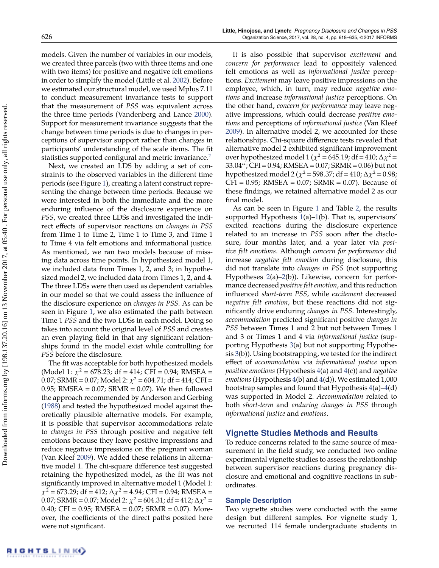models. Given the number of variables in our models, we created three parcels (two with three items and one with two items) for positive and negative felt emotions in order to simplify the model (Little et al. [2002\)](#page-17-37). Before we estimated our structural model, we used Mplus 7.11 to conduct measurement invariance tests to support that the measurement of *PSS* was equivalent across the three time periods (Vandenberg and Lance [2000\)](#page-18-29). Support for measurement invariance suggests that the change between time periods is due to changes in perceptions of supervisor support rather than changes in participants' understanding of the scale items. The fit statistics supported configural and metric invariance.<sup>[2](#page-16-6)</sup>

Next, we created an LDS by adding a set of constraints to the observed variables in the different time periods (see Figure [1\)](#page-2-0), creating a latent construct representing the change between time periods. Because we were interested in both the immediate and the more enduring influence of the disclosure experience on *PSS*, we created three LDSs and investigated the indirect effects of supervisor reactions on *changes in PSS* from Time 1 to Time 2, Time 1 to Time 3, and Time 1 to Time 4 via felt emotions and informational justice. As mentioned, we ran two models because of missing data across time points. In hypothesized model 1, we included data from Times 1, 2, and 3; in hypothesized model 2, we included data from Times 1, 2, and 4. The three LDSs were then used as dependent variables in our model so that we could assess the influence of the disclosure experience on *changes in PSS*. As can be seen in Figure [1,](#page-2-0) we also estimated the path between Time 1 *PSS* and the two LDSs in each model. Doing so takes into account the original level of *PSS* and creates an even playing field in that any significant relationships found in the model exist while controlling for *PSS* before the disclosure.

The fit was acceptable for both hypothesized models (Model 1:  $\chi^2 = 678.23$ ; df = 414; CFI = 0.94; RMSEA = 0.07; SRMR = 0.07; Model 2:  $\chi^2$  = 604.71; df = 414; CFI = 0.95; RMSEA =  $0.07$ ; SRMR =  $0.07$ ). We then followed the approach recommended by Anderson and Gerbing [\(1988\)](#page-16-7) and tested the hypothesized model against theoretically plausible alternative models. For example, it is possible that supervisor accommodations relate to *changes in PSS* through positive and negative felt emotions because they leave positive impressions and reduce negative impressions on the pregnant woman (Van Kleef [2009\)](#page-18-0). We added these relations in alternative model 1. The chi-square difference test suggested retaining the hypothesized model, as the fit was not significantly improved in alternative model 1 (Model 1:  $\chi^2$  = 673.29; df = 412;  $\Delta \chi^2$  = 4.94; CFI = 0.94; RMSEA = 0.07; SRMR = 0.07; Model 2:  $\chi^2$  = 604.31; df = 412;  $\Delta \chi^2$  = 0.40; CFI = 0.95; RMSEA = 0.07; SRMR = 0.07). Moreover, the coefficients of the direct paths posited here were not significant.

It is also possible that supervisor *excitement* and *concern for performance* lead to oppositely valenced felt emotions as well as *informational justice* perceptions. *Excitement* may leave positive impressions on the employee, which, in turn, may reduce *negative emotions* and increase *informational justice* perceptions. On the other hand, *concern for performance* may leave negative impressions, which could decrease *positive emotions* and perceptions of *informational justice* (Van Kleef [2009\)](#page-18-0). In alternative model 2, we accounted for these relationships. Chi-square difference tests revealed that alternative model 2 exhibited significant improvement over hypothesized model 1 ( $\chi^2$  = 645.19; df = 410;  $\Delta \chi^2$  =  $33.04$ <sup>\*</sup>\*; CFI = 0.94; RMSEA = 0.07; SRMR = 0.06) but not hypothesized model 2 ( $\chi^2$  = 598.37; df = 410;  $\Delta \chi^2$  = 0.98;  $CFI = 0.95$ ; RMSEA = 0.07; SRMR = 0.07). Because of these findings, we retained alternative model 2 as our final model.

<span id="page-9-0"></span>As can be seen in Figure [1](#page-2-0) and Table [2,](#page-10-0) the results supported Hypothesis [1\(](#page-5-0)a)[–1\(](#page-5-0)b). That is, supervisors' excited reactions during the disclosure experience related to an increase in *PSS* soon after the disclosure, four months later, and a year later via *positive felt emotions*. Although *concern for performance* did increase *negative felt emotion* during disclosure, this did not translate into *changes in PSS* (not supporting Hypotheses [2\(](#page-5-1)a)[–2\(](#page-5-1)b)). Likewise, concern for performance decreased *positive felt emotion*, and this reduction influenced *short-term PSS*, while *excitement* decreased *negative felt emotion*, but these reactions did not significantly drive enduring *changes in PSS*. Interestingly, *accommodation* predicted significant positive *changes in PSS* between Times 1 and 2 but not between Times 1 and 3 or Times 1 and 4 via *informational justice* (supporting Hypothesis [3\(](#page-5-2)a) but not supporting Hypothesis [3\(](#page-5-2)b)). Using bootstrapping, we tested for the indirect effect of *accommodation* via *informational justice* upon *positive emotions* (Hypothesis [4\(](#page-6-0)a) and [4\(](#page-6-0)c)) and *negative emotions*(Hypothesis [4\(](#page-6-0)b) and [4\(](#page-6-0)d)). We estimated 1,000 bootstrap samples and found that Hypothesis [4\(](#page-6-0)a)[–4\(](#page-6-0)d) was supported in Model 2. *Accommodation* related to both *short-term* and *enduring changes in PSS* through *informational justice* and *emotions*.

# **Vignette Studies Methods and Results**

To reduce concerns related to the same source of measurement in the field study, we conducted two online experimental vignette studies to assess the relationship between supervisor reactions during pregnancy disclosure and emotional and cognitive reactions in subordinates.

#### **Sample Description**

Two vignette studies were conducted with the same design but different samples. For vignette study 1, we recruited 114 female undergraduate students in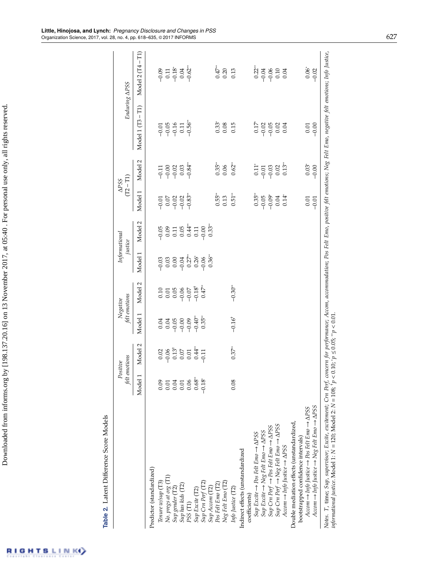| Model 1 (T3 $-$ T1) |                             |                          | Model1 Model2 Model1 Model2 Model1 Model1 Model2 Model2 |                           |                                         |
|---------------------|-----------------------------|--------------------------|---------------------------------------------------------|---------------------------|-----------------------------------------|
| Enduring            | $(T2 - T1)$<br>$\Delta PSS$ | Informational<br>justice | felt emotions<br>Negative                               | felt emotions<br>Positive |                                         |
|                     |                             |                          |                                                         |                           | Table 2. Latent Difference Score Models |
|                     |                             |                          |                                                         |                           |                                         |
|                     |                             |                          |                                                         |                           |                                         |

<span id="page-10-0"></span>

|                                                                                        | felt emotions<br>I DOILLUE |                                                                                                                                                                                                                                                                                                               | felt emotions        | ingaine                                       |                                                                           | uprnattonat<br>justice                            |                                                     | $(T2 - T1)$<br>ניט גבו                                                                                                                                                                                                                                                |                                                       | Enduring APSS                                       |
|----------------------------------------------------------------------------------------|----------------------------|---------------------------------------------------------------------------------------------------------------------------------------------------------------------------------------------------------------------------------------------------------------------------------------------------------------|----------------------|-----------------------------------------------|---------------------------------------------------------------------------|---------------------------------------------------|-----------------------------------------------------|-----------------------------------------------------------------------------------------------------------------------------------------------------------------------------------------------------------------------------------------------------------------------|-------------------------------------------------------|-----------------------------------------------------|
|                                                                                        | Model 1                    | Model <sub>2</sub>                                                                                                                                                                                                                                                                                            | Model 1              | Model <sub>2</sub>                            | Model 1                                                                   | Model <sub>2</sub>                                | Model 1                                             | Model <sub>2</sub>                                                                                                                                                                                                                                                    | Model 1 (T3-T1)                                       | Model $2(T4 - T1)$                                  |
| Predictor (standardized)                                                               |                            |                                                                                                                                                                                                                                                                                                               |                      |                                               |                                                                           |                                                   |                                                     |                                                                                                                                                                                                                                                                       |                                                       |                                                     |
| Tenure w/sup (T3)                                                                      | 0.09                       |                                                                                                                                                                                                                                                                                                               |                      |                                               |                                                                           |                                                   |                                                     |                                                                                                                                                                                                                                                                       |                                                       |                                                     |
| No. pregs at org (T1)                                                                  | 0.01                       |                                                                                                                                                                                                                                                                                                               |                      |                                               |                                                                           |                                                   |                                                     |                                                                                                                                                                                                                                                                       |                                                       |                                                     |
| Sup gender (T2)                                                                        | 0.04                       | $\begin{array}{c} 0.02 \\ 0.06 \\ 0.07 \\ 0.05 \\ 0.07 \\ 0.01 \\ 0.01 \\ 0.01 \\ 0.01 \\ 0.01 \\ 0.01 \\ 0.01 \\ 0.01 \\ 0.01 \\ 0.01 \\ 0.01 \\ 0.01 \\ 0.01 \\ 0.01 \\ 0.01 \\ 0.01 \\ 0.01 \\ 0.01 \\ 0.01 \\ 0.01 \\ 0.01 \\ 0.01 \\ 0.01 \\ 0.01 \\ 0.01 \\ 0.01 \\ 0.01 \\ 0.01 \\ 0.01 \\ 0.01 \\ 0.$ |                      | 0.10<br>0.01<br>0.05<br>0.05<br>0.18<br>0.47* | $-0.33$<br>$-0.30$<br>$-0.50$<br>$-0.50$<br>$-0.50$<br>$-0.36$<br>$-0.36$ | $-0.05$ $0.05$ $0.05$ $0.05$ $0.04$ $0.03$ $0.33$ | $-0.07$<br>$-0.02$<br>$-0.02$<br>$-0.03$<br>$-0.83$ |                                                                                                                                                                                                                                                                       | $-0.05$<br>$-0.16$<br>$-0.11$<br>$-0.56$ <sup>*</sup> | $-0.09$<br>$-0.18$<br>$-0.04$<br>$-0.62$<br>$-0.62$ |
| Sup has kids (T2)                                                                      | 0.01                       |                                                                                                                                                                                                                                                                                                               |                      |                                               |                                                                           |                                                   |                                                     |                                                                                                                                                                                                                                                                       |                                                       |                                                     |
| PSS <sub>(T1)</sub>                                                                    | 0.06                       |                                                                                                                                                                                                                                                                                                               |                      |                                               |                                                                           |                                                   |                                                     |                                                                                                                                                                                                                                                                       |                                                       |                                                     |
| Sup Excite (T2)                                                                        | $0.68**$                   |                                                                                                                                                                                                                                                                                                               |                      |                                               |                                                                           |                                                   |                                                     |                                                                                                                                                                                                                                                                       |                                                       |                                                     |
| Sup Crn Perf (T2)                                                                      | $-0.18$ <sup>*</sup>       |                                                                                                                                                                                                                                                                                                               | $0.35$ <sup>**</sup> |                                               |                                                                           |                                                   |                                                     |                                                                                                                                                                                                                                                                       |                                                       |                                                     |
| Sup Accom (T2)                                                                         |                            |                                                                                                                                                                                                                                                                                                               |                      |                                               |                                                                           |                                                   |                                                     |                                                                                                                                                                                                                                                                       |                                                       |                                                     |
| Pos Felt Emo (T2)                                                                      |                            |                                                                                                                                                                                                                                                                                                               |                      |                                               |                                                                           |                                                   | $0.55**$                                            | $0.35**$                                                                                                                                                                                                                                                              | $0.33*$                                               |                                                     |
| Neg Felt Emo (T2)                                                                      |                            |                                                                                                                                                                                                                                                                                                               |                      |                                               |                                                                           |                                                   | 0.13                                                | 0.06                                                                                                                                                                                                                                                                  | 0.08                                                  | $0.47$ <sup>**</sup>                                |
| Info Justice (T2)                                                                      | 0.08                       | $0.37**$                                                                                                                                                                                                                                                                                                      | $-0.16$ <sup>+</sup> | $-0.30**$                                     |                                                                           |                                                   | $0.51**$                                            | $0.62**$                                                                                                                                                                                                                                                              | 0.15                                                  | 0.13                                                |
| Indirect effects (unstandardized                                                       |                            |                                                                                                                                                                                                                                                                                                               |                      |                                               |                                                                           |                                                   |                                                     |                                                                                                                                                                                                                                                                       |                                                       |                                                     |
| coefficients)                                                                          |                            |                                                                                                                                                                                                                                                                                                               |                      |                                               |                                                                           |                                                   |                                                     |                                                                                                                                                                                                                                                                       |                                                       |                                                     |
| Sup Excite $\rightarrow$ Pos Felt Emo $\rightarrow \Delta PSS$                         |                            |                                                                                                                                                                                                                                                                                                               |                      |                                               |                                                                           |                                                   | $0.35**$                                            |                                                                                                                                                                                                                                                                       |                                                       | $0.22*$<br>$0.04$<br>$0.06$<br>$0.04$<br>$0.04$     |
| $Sup\, Exercise \rightarrow Neg\,End \rightarrow \Delta PSS$                           |                            |                                                                                                                                                                                                                                                                                                               |                      |                                               |                                                                           |                                                   | $-0.05$<br>$-0.03$<br>$-0.04$<br>$-0.14$            | $\begin{array}{c} 11.71 \ 11.71 \ 11.71 \ 11.71 \ 11.71 \ 11.71 \ 11.71 \ 11.71 \ 11.71 \ 11.71 \ 11.71 \ 11.71 \ 11.71 \ 11.71 \ 11.71 \ 11.71 \ 11.71 \ 11.71 \ 11.71 \ 11.71 \ 11.71 \ 11.71 \ 11.71 \ 11.71 \ 11.71 \ 11.71 \ 11.71 \ 11.71 \ 11.71 \ 11.71 \ 11$ |                                                       |                                                     |
| Sup Crn Perf $\rightarrow$ Pos Felt Emo $\rightarrow \Delta$ PSS                       |                            |                                                                                                                                                                                                                                                                                                               |                      |                                               |                                                                           |                                                   |                                                     |                                                                                                                                                                                                                                                                       |                                                       |                                                     |
| $Sup Crn$ Perf $\rightarrow$ Neg Felt Emo $\rightarrow \Delta PSS$                     |                            |                                                                                                                                                                                                                                                                                                               |                      |                                               |                                                                           |                                                   |                                                     |                                                                                                                                                                                                                                                                       |                                                       |                                                     |
| $Account \rightarrow Info$ Justice $\rightarrow \Delta PSS$                            |                            |                                                                                                                                                                                                                                                                                                               |                      |                                               |                                                                           |                                                   |                                                     |                                                                                                                                                                                                                                                                       |                                                       |                                                     |
| Double mediation effects (unstandardized,                                              |                            |                                                                                                                                                                                                                                                                                                               |                      |                                               |                                                                           |                                                   |                                                     |                                                                                                                                                                                                                                                                       |                                                       |                                                     |
| bootstrapped confidence intervals)                                                     |                            |                                                                                                                                                                                                                                                                                                               |                      |                                               |                                                                           |                                                   |                                                     |                                                                                                                                                                                                                                                                       |                                                       |                                                     |
| $Account \rightarrow Info$ Justice $\rightarrow Pos$ Felt Emo $\rightarrow \Delta PSS$ |                            |                                                                                                                                                                                                                                                                                                               |                      |                                               |                                                                           |                                                   | 0.01                                                | $0.03*$                                                                                                                                                                                                                                                               | $0.01\,$                                              | $0.06^*$                                            |
| $Account \rightarrow Info$ Justice $\rightarrow Neg$ Felt Emo $\rightarrow \Delta PSS$ |                            |                                                                                                                                                                                                                                                                                                               |                      |                                               |                                                                           |                                                   | $-0.01$                                             | $-0.00$                                                                                                                                                                                                                                                               | $-0.00$                                               | $-0.02$                                             |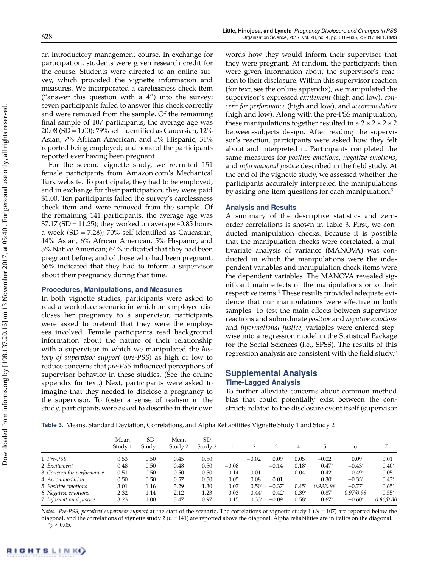an introductory management course. In exchange for participation, students were given research credit for the course. Students were directed to an online survey, which provided the vignette information and measures. We incorporated a carelessness check item ("answer this question with a  $4$ ") into the survey; seven participants failed to answer this check correctly and were removed from the sample. Of the remaining final sample of 107 participants, the average age was 20.08 (SD = 1.00); 79% self-identified as Caucasian,  $12\%$ Asian, 7% African American, and 5% Hispanic; 31% reported being employed; and none of the participants reported ever having been pregnant.

For the second vignette study, we recruited 151 female participants from Amazon.com's Mechanical Turk website. To participate, they had to be employed, and in exchange for their participation, they were paid \$1.00. Ten participants failed the survey's carelessness check item and were removed from the sample. Of the remaining 141 participants, the average age was  $37.17$  (SD = 11.25); they worked on average 40.85 hours a week  $(SD = 7.28)$ ; 70% self-identified as Caucasian, 14% Asian, 6% African American, 5% Hispanic, and 3% Native American; 64% indicated that they had been pregnant before; and of those who had been pregnant, 66% indicated that they had to inform a supervisor about their pregnancy during that time.

#### **Procedures, Manipulations, and Measures**

In both vignette studies, participants were asked to read a workplace scenario in which an employee discloses her pregnancy to a supervisor; participants were asked to pretend that they were the employees involved. Female participants read background information about the nature of their relationship with a supervisor in which we manipulated the *history of supervisor support* (*pre-PSS*) as high or low to reduce concerns that *pre-PSS* influenced perceptions of supervisor behavior in these studies. (See the online appendix for text.) Next, participants were asked to imagine that they needed to disclose a pregnancy to the supervisor. To foster a sense of realism in the study, participants were asked to describe in their own words how they would inform their supervisor that they were pregnant. At random, the participants then were given information about the supervisor's reaction to their disclosure. Within this supervisor reaction (for text, see the online appendix), we manipulated the supervisor's expressed *excitement* (high and low), *concern for performance* (high and low), and *accommodation* (high and low). Along with the pre-PSS manipulation, these manipulations together resulted in a  $2 \times 2 \times 2 \times 2$ between-subjects design. After reading the supervisor's reaction, participants were asked how they felt about and interpreted it. Participants completed the same measures for *positive emotions*, *negative emotions*, and *informational justice* described in the field study. At the end of the vignette study, we assessed whether the participants accurately interpreted the manipulations by asking one-item questions for each manipulation.<sup>[3](#page-16-8)</sup>

# <span id="page-11-1"></span>**Analysis and Results**

<span id="page-11-2"></span>A summary of the descriptive statistics and zeroorder correlations is shown in Table [3.](#page-11-0) First, we conducted manipulation checks. Because it is possible that the manipulation checks were correlated, a multivariate analysis of variance (MANOVA) was conducted in which the manipulations were the independent variables and manipulation check items were the dependent variables. The MANOVA revealed significant main effects of the manipulations onto their respective items.<sup>[4](#page-16-9)</sup> These results provided adequate evidence that our manipulations were effective in both samples. To test the main effects between supervisor reactions and subordinate *positive* and *negative emotions* and *informational justice*, variables were entered stepwise into a regression model in the Statistical Package for the Social Sciences (i.e., SPSS). The results of this regression analysis are consistent with the field study.<sup>[5](#page-16-10)</sup>

# <span id="page-11-3"></span>**Supplemental Analysis Time-Lagged Analysis**

To further alleviate concerns about common method bias that could potentially exist between the constructs related to the disclosure event itself (supervisor

<span id="page-11-0"></span>**Table 3.** Means, Standard Deviation, Correlations, and Alpha Reliabilities Vignette Study 1 and Study 2

|                           | Mean<br>Study 1 | SD<br>Study 1 | Mean<br>Study 2 | SD<br>Study 2 |         |          | 3         | 4        | 5         | 6         | 7         |
|---------------------------|-----------------|---------------|-----------------|---------------|---------|----------|-----------|----------|-----------|-----------|-----------|
| 1 Pre-PSS                 | 0.53            | 0.50          | 0.45            | 0.50          |         | $-0.02$  | 0.09      | 0.05     | $-0.02$   | 0.09      | 0.01      |
| 2 Excitement              | 0.48            | 0.50          | 0.48            | 0.50          | $-0.08$ |          | $-0.14$   | $0.18*$  | $0.47*$   | $-0.43*$  | $0.40*$   |
| 3 Concern for performance | 0.51            | 0.50          | 0.50            | 0.50          | 0.14    | $-0.01$  |           | 0.04     | $-0.42*$  | $0.49*$   | $-0.05$   |
| 4 Accommodation           | 0.50            | 0.50          | 0.57            | 0.50          | 0.05    | 0.08     | 0.01      |          | $0.30*$   | $-0.33*$  | $0.43*$   |
| 5 Positive emotions       | 3.01            | 1.16          | 3.29            | 1.30          | 0.07    | $0.50*$  | $-0.37^*$ | $0.45*$  | 0.98/0.98 | $-0.77*$  | $0.65*$   |
| 6 Negative emotions       | 2.32            | 1.14          | 2.12            | 1.23          | $-0.03$ | $-0.44*$ | $0.42*$   | $-0.39*$ | $-0.87*$  | 0.97/0.98 | $-0.55^*$ |
| 7 Informational justice   | 3.23            | 1.00          | 3.47            | 0.97          | 0.15    | $0.33*$  | $-0.09$   | $0.58*$  | $0.67*$   | $-0.60*$  | 0.86/0.80 |

*Notes. Pre-PSS, perceived supervisor support* at the start of the scenario. The correlations of vignette study 1 (*N* = 107) are reported below the diagonal, and the correlations of vignette study 2 (*n* = 141) are reported above the diagonal. Alpha reliabilities are in italics on the diagonal. <sup>∗</sup>*p* < 0.05.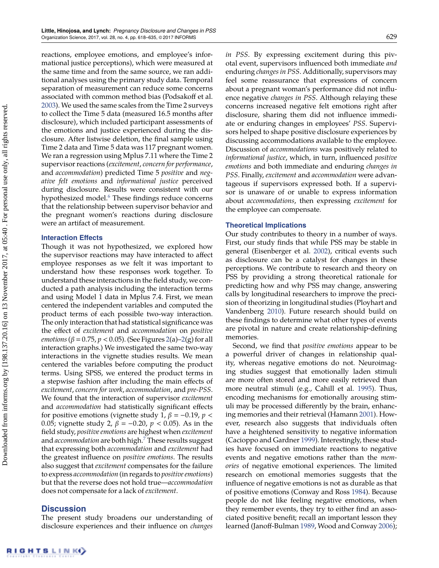reactions, employee emotions, and employee's informational justice perceptions), which were measured at the same time and from the same source, we ran additional analyses using the primary study data. Temporal separation of measurement can reduce some concerns associated with common method bias (Podsakoff et al. [2003\)](#page-18-30). We used the same scales from the Time 2 surveys to collect the Time 5 data (measured 16.5 months after disclosure), which included participant assessments of the emotions and justice experienced during the disclosure. After listwise deletion, the final sample using Time 2 data and Time 5 data was 117 pregnant women. We ran a regression using Mplus 7.11 where the Time 2 supervisor reactions (*excitement*, *concern for performance*, and *accommodation*) predicted Time 5 *positive* and *negative felt emotions* and *informational justice* perceived during disclosure. Results were consistent with our hypothesized model.<sup>[6](#page-16-11)</sup> These findings reduce concerns that the relationship between supervisor behavior and the pregnant women's reactions during disclosure were an artifact of measurement.

### <span id="page-12-0"></span>**Interaction Effects**

Though it was not hypothesized, we explored how the supervisor reactions may have interacted to affect employee responses as we felt it was important to understand how these responses work together. To understand these interactions in the field study, we conducted a path analysis including the interaction terms and using Model 1 data in Mplus 7.4. First, we mean centered the independent variables and computed the product terms of each possible two-way interaction. The only interaction that had statistical significance was the effect of *excitement* and *accommodation* on *positive emotions* ( $\beta$  = 0.75,  $p$  < 0.05). (See Figures [2\(](#page-13-0)a)[–2\(](#page-13-0)g) for all interaction graphs.) We investigated the same two-way interactions in the vignette studies results. We mean centered the variables before computing the product terms. Using SPSS, we entered the product terms in a stepwise fashion after including the main effects of *excitement*, *concern for work*, *accommodation*, and *pre-PSS*. We found that the interaction of supervisor *excitement* and *accommodation* had statistically significant effects for positive emotions (vignette study 1,  $\beta = -0.19$ ,  $p <$ 0.05; vignette study 2,  $\beta$  = -0.20,  $p$  < 0.05). As in the field study, *positive emotions* are highest when *excitement* and *accommodation* are both high.[7](#page-16-12) These results suggest that expressing both *accommodation* and *excitement* had the greatest influence on *positive emotions*. The results also suggest that *excitement* compensates for the failure to express *accommodation* (in regards to *positive emotions*) but that the reverse does not hold true—*accommodation* does not compensate for a lack of *excitement*.

### **Discussion**

The present study broadens our understanding of disclosure experiences and their influence on *changes* *in PSS*. By expressing excitement during this pivotal event, supervisors influenced both immediate *and* enduring *changes in PSS*. Additionally, supervisors may feel some reassurance that expressions of concern about a pregnant woman's performance did not influence negative *changes in PSS*. Although relaying these concerns increased negative felt emotions right after disclosure, sharing them did not influence immediate or enduring changes in employees' *PSS*. Supervisors helped to shape positive disclosure experiences by discussing accommodations available to the employee. Discussion of *accommodations* was positively related to *informational justice*, which, in turn, influenced *positive emotions* and both immediate and enduring *changes in PSS*. Finally, *excitement* and *accommodation* were advantageous if supervisors expressed both. If a supervisor is unaware of or unable to express information about *accommodations*, then expressing *excitement* for the employee can compensate.

### **Theoretical Implications**

Our study contributes to theory in a number of ways. First, our study finds that while PSS may be stable in general (Eisenberger et al. [2002\)](#page-17-2), critical events such as disclosure can be a catalyst for changes in these perceptions. We contribute to research and theory on PSS by providing a strong theoretical rationale for predicting how and why PSS may change, answering calls by longitudinal researchers to improve the precision of theorizing in longitudinal studies (Ployhart and Vandenberg [2010\)](#page-18-31). Future research should build on these findings to determine what other types of events are pivotal in nature and create relationship-defining memories.

<span id="page-12-1"></span>Second, we find that *positive emotions* appear to be a powerful driver of changes in relationship quality, whereas negative emotions do not. Neuroimaging studies suggest that emotionally laden stimuli are more often stored and more easily retrieved than more neutral stimuli (e.g., Cahill et al. [1995\)](#page-17-38). Thus, encoding mechanisms for emotionally arousing stimuli may be processed differently by the brain, enhancing memories and their retrieval (Hamann [2001\)](#page-17-39). However, research also suggests that individuals often have a heightened sensitivity to negative information (Cacioppo and Gardner [1999\)](#page-17-40). Interestingly, these studies have focused on immediate reactions to negative events and negative emotions rather than the *memories* of negative emotional experiences. The limited research on emotional memories suggests that the influence of negative emotions is not as durable as that of positive emotions (Conway and Ross [1984\)](#page-17-41). Because people do not like feeling negative emotions, when they remember events, they try to either find an associated positive benefit; recall an important lesson they learned (Janoff-Bulman [1989,](#page-17-42) Wood and Conway [2006\)](#page-18-32);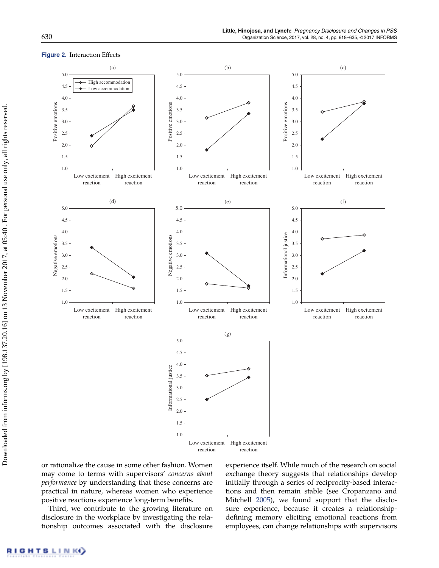#### **Figure 2.** Interaction Effects

<span id="page-13-0"></span>

or rationalize the cause in some other fashion. Women may come to terms with supervisors' *concerns about performance* by understanding that these concerns are practical in nature, whereas women who experience positive reactions experience long-term benefits.

Third, we contribute to the growing literature on disclosure in the workplace by investigating the relationship outcomes associated with the disclosure experience itself. While much of the research on social exchange theory suggests that relationships develop initially through a series of reciprocity-based interactions and then remain stable (see Cropanzano and Mitchell [2005\)](#page-17-12), we found support that the disclosure experience, because it creates a relationshipdefining memory eliciting emotional reactions from employees, can change relationships with supervisors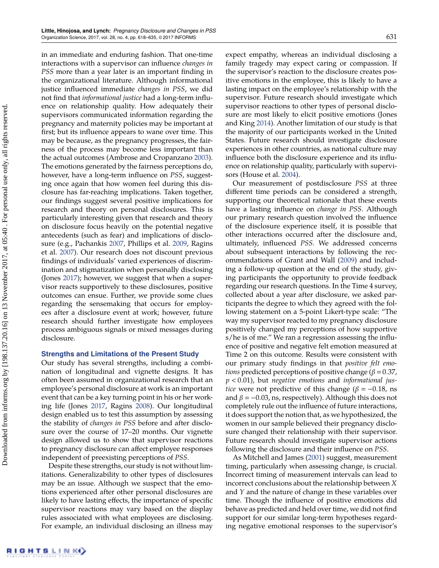in an immediate and enduring fashion. That one-time interactions with a supervisor can influence *changes in PSS* more than a year later is an important finding in the organizational literature. Although informational justice influenced immediate *changes in PSS*, we did not find that *informational justice* had a long-term influence on relationship quality. How adequately their supervisors communicated information regarding the pregnancy and maternity policies may be important at first; but its influence appears to wane over time. This may be because, as the pregnancy progresses, the fairness of the process may become less important than the actual outcomes (Ambrose and Cropanzano [2003\)](#page-16-13). The emotions generated by the fairness perceptions do, however, have a long-term influence on *PSS*, suggesting once again that how women feel during this disclosure has far-reaching implications. Taken together, our findings suggest several positive implications for research and theory on personal disclosures. This is particularly interesting given that research and theory on disclosure focus heavily on the potential negative antecedents (such as fear) and implications of disclosure (e.g., Pachankis [2007,](#page-18-23) Phillips et al. [2009,](#page-18-14) Ragins et al. [2007\)](#page-18-10). Our research does not discount previous findings of individuals' varied experiences of discrimination and stigmatization when personally disclosing (Jones [2017\)](#page-17-43); however, we suggest that when a supervisor reacts supportively to these disclosures, positive outcomes can ensue. Further, we provide some clues regarding the sensemaking that occurs for employees after a disclosure event at work; however, future research should further investigate how employees process ambiguous signals or mixed messages during disclosure.

#### **Strengths and Limitations of the Present Study**

Our study has several strengths, including a combination of longitudinal and vignette designs. It has often been assumed in organizational research that an employee's personal disclosure at work is an important event that can be a key turning point in his or her working life (Jones [2017,](#page-17-43) Ragins [2008\)](#page-18-4). Our longitudinal design enabled us to test this assumption by assessing the stability of *changes in PSS* before and after disclosure over the course of 17–20 months. Our vignette design allowed us to show that supervisor reactions to pregnancy disclosure can affect employee responses independent of preexisting perceptions of *PSS*.

Despite these strengths, our study is not without limitations. Generalizability to other types of disclosures may be an issue. Although we suspect that the emotions experienced after other personal disclosures are likely to have lasting effects, the importance of specific supervisor reactions may vary based on the display rules associated with what employees are disclosing. For example, an individual disclosing an illness may

expect empathy, whereas an individual disclosing a family tragedy may expect caring or compassion. If the supervisor's reaction to the disclosure creates positive emotions in the employee, this is likely to have a lasting impact on the employee's relationship with the supervisor. Future research should investigate which supervisor reactions to other types of personal disclosure are most likely to elicit positive emotions (Jones and King [2014\)](#page-17-11). Another limitation of our study is that the majority of our participants worked in the United States. Future research should investigate disclosure experiences in other countries, as national culture may influence both the disclosure experience and its influence on relationship quality, particularly with supervisors (House et al. [2004\)](#page-17-44).

Our measurement of postdisclosure *PSS* at three different time periods can be considered a strength, supporting our theoretical rationale that these events have a lasting influence on *change in PSS*. Although our primary research question involved the influence of the disclosure experience itself, it is possible that other interactions occurred after the disclosure and, ultimately, influenced *PSS*. We addressed concerns about subsequent interactions by following the recommendations of Grant and Wall [\(2009\)](#page-17-45) and including a follow-up question at the end of the study, giving participants the opportunity to provide feedback regarding our research questions. In the Time 4 survey, collected about a year after disclosure, we asked participants the degree to which they agreed with the following statement on a 5-point Likert-type scale: "The way my supervisor reacted to my pregnancy disclosure positively changed my perceptions of how supportive s/he is of me." We ran a regression assessing the influence of positive and negative felt emotion measured at Time 2 on this outcome. Results were consistent with our primary study findings in that *positive felt emotions* predicted perceptions of positive change ( $\beta = 0.37$ , *p* < 0.01), but *negative emotions* and *informational justice* were not predictive of this change ( $\beta$  = -0.18, ns and  $\beta = -0.03$ , ns, respectively). Although this does not completely rule out the influence of future interactions, it does support the notion that, as we hypothesized, the women in our sample believed their pregnancy disclosure changed their relationship with their supervisor. Future research should investigate supervisor actions following the disclosure and their influence on *PSS*.

As Mitchell and James [\(2001\)](#page-18-9) suggest, measurement timing, particularly when assessing change, is crucial. Incorrect timing of measurement intervals can lead to incorrect conclusions about the relationship between *X* and *Y* and the nature of change in these variables over time. Though the influence of positive emotions did behave as predicted and held over time, we did not find support for our similar long-term hypotheses regarding negative emotional responses to the supervisor's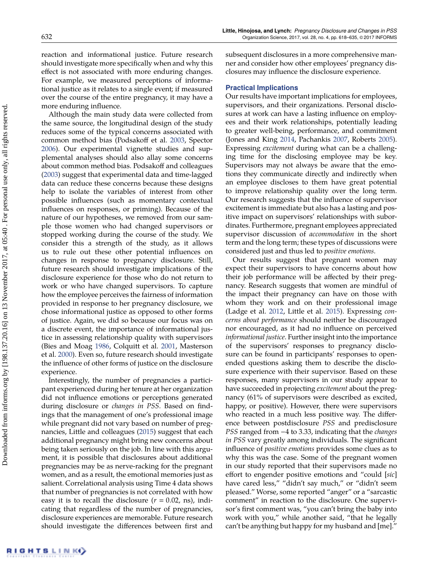reaction and informational justice. Future research should investigate more specifically when and why this effect is not associated with more enduring changes. For example, we measured perceptions of informational justice as it relates to a single event; if measured over the course of the entire pregnancy, it may have a more enduring influence.

Although the main study data were collected from the same source, the longitudinal design of the study reduces some of the typical concerns associated with common method bias (Podsakoff et al. [2003,](#page-18-30) Spector [2006\)](#page-18-33). Our experimental vignette studies and supplemental analyses should also allay some concerns about common method bias. Podsakoff and colleagues [\(2003\)](#page-18-30) suggest that experimental data and time-lagged data can reduce these concerns because these designs help to isolate the variables of interest from other possible influences (such as momentary contextual influences on responses, or priming). Because of the nature of our hypotheses, we removed from our sample those women who had changed supervisors or stopped working during the course of the study. We consider this a strength of the study, as it allows us to rule out these other potential influences on changes in response to pregnancy disclosure. Still, future research should investigate implications of the disclosure experience for those who do not return to work or who have changed supervisors. To capture how the employee perceives the fairness of information provided in response to her pregnancy disclosure, we chose informational justice as opposed to other forms of justice. Again, we did so because our focus was on a discrete event, the importance of informational justice in assessing relationship quality with supervisors (Bies and Moag [1986,](#page-17-25) Colquitt et al. [2001,](#page-17-27) Masterson et al. [2000\)](#page-17-26). Even so, future research should investigate the influence of other forms of justice on the disclosure experience.

Interestingly, the number of pregnancies a participant experienced during her tenure at her organization did not influence emotions or perceptions generated during disclosure or *changes in PSS*. Based on findings that the management of one's professional image while pregnant did not vary based on number of pregnancies, Little and colleagues [\(2015\)](#page-17-8) suggest that each additional pregnancy might bring new concerns about being taken seriously on the job. In line with this argument, it is possible that disclosures about additional pregnancies may be as nerve-racking for the pregnant women, and as a result, the emotional memories just as salient. Correlational analysis using Time 4 data shows that number of pregnancies is not correlated with how easy it is to recall the disclosure  $(r = 0.02, \text{ ns})$ , indicating that regardless of the number of pregnancies, disclosure experiences are memorable. Future research should investigate the differences between first and subsequent disclosures in a more comprehensive manner and consider how other employees' pregnancy disclosures may influence the disclosure experience.

#### **Practical Implications**

Our results have important implications for employees, supervisors, and their organizations. Personal disclosures at work can have a lasting influence on employees and their work relationships, potentially leading to greater well-being, performance, and commitment (Jones and King [2014,](#page-17-11) Pachankis [2007,](#page-18-23) Roberts [2005\)](#page-18-34). Expressing *excitement* during what can be a challenging time for the disclosing employee may be key. Supervisors may not always be aware that the emotions they communicate directly and indirectly when an employee discloses to them have great potential to improve relationship quality over the long term. Our research suggests that the influence of supervisor excitement is immediate but also has a lasting and positive impact on supervisors' relationships with subordinates. Furthermore, pregnant employees appreciated supervisor discussion of *accommodation* in the short term and the long term; these types of discussions were considered just and thus led to *positive emotions*.

Our results suggest that pregnant women may expect their supervisors to have concerns about how their job performance will be affected by their pregnancy. Research suggests that women are mindful of the impact their pregnancy can have on those with whom they work and on their professional image (Ladge et al. [2012,](#page-17-46) Little et al. [2015\)](#page-17-8). Expressing *concerns about performance* should neither be discouraged nor encouraged, as it had no influence on perceived *informational justice*. Further insight into the importance of the supervisors' responses to pregnancy disclosure can be found in participants' responses to openended questions asking them to describe the disclosure experience with their supervisor. Based on these responses, many supervisors in our study appear to have succeeded in projecting *excitement* about the pregnancy (61% of supervisors were described as excited, happy, or positive). However, there were supervisors who reacted in a much less positive way. The difference between postdisclosure *PSS* and predisclosure *PSS* ranged from −4 to 3.33, indicating that the *changes in PSS* vary greatly among individuals. The significant influence of *positive emotions* provides some clues as to why this was the case. Some of the pregnant women in our study reported that their supervisors made no effort to engender positive emotions and "could [*sic*] have cared less," "didn't say much," or "didn't seem pleased." Worse, some reported "anger" or a "sarcastic comment" in reaction to the disclosure. One supervisor's first comment was, "you can't bring the baby into work with you," while another said, "that he legally can't be anything but happy for my husband and [me]."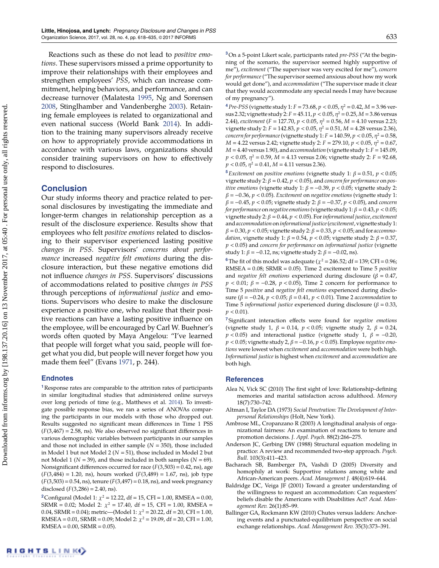Reactions such as these do not lead to *positive emotions*. These supervisors missed a prime opportunity to improve their relationships with their employees and strengthen employees' *PSS*, which can increase commitment, helping behaviors, and performance, and can decrease turnover (Malatesta [1995,](#page-17-1) Ng and Sorensen [2008,](#page-18-1) Stinglhamber and Vandenberghe [2003\)](#page-18-2). Retaining female employees is related to organizational and even national success (World Bank [2014\)](#page-18-35). In addition to the training many supervisors already receive on how to appropriately provide accommodations in accordance with various laws, organizations should consider training supervisors on how to effectively respond to disclosures.

# **Conclusion**

Our study informs theory and practice related to personal disclosures by investigating the immediate and longer-term changes in relationship perception as a result of the disclosure experience. Results show that employees who felt *positive emotions* related to disclosing to their supervisor experienced lasting positive *changes in PSS*. Supervisors' *concerns about performance* increased *negative felt emotions* during the disclosure interaction, but these negative emotions did not influence *changes in PSS*. Supervisors' discussions of accommodations related to positive *changes in PSS* through perceptions of *informational justice* and emotions. Supervisors who desire to make the disclosure experience a positive one, who realize that their positive reactions can have a lasting positive influence on the employee, will be encouraged by Carl W. Buehner's words often quoted by Maya Angelou: "I've learned that people will forget what you said, people will forget what you did, but people will never forget how you made them feel" (Evans [1971,](#page-17-47) p. 244).

#### **Endnotes**

<span id="page-16-5"></span>**[1](#page-7-0)**Response rates are comparable to the attrition rates of participants in similar longitudinal studies that administered online surveys over long periods of time (e.g., Matthews et al. [2014\)](#page-17-48). To investigate possible response bias, we ran a series of ANOVAs comparing the participants in our models with those who dropped out. Results suggested no significant mean differences in Time 1 PSS  $(F(3,467) = 2.58$ , ns). We also observed no significant differences in various demographic variables between participants in our samples and those not included in either sample  $(N = 350)$ , those included in Model 1 but not Model 2 ( $N = 51$ ), those included in Model 2 but not Model 1 ( $N = 39$ ), and those included in both samples ( $N = 69$ ). Nonsignificant differences occurred for race  $(F(3,503) = 0.42, \text{ns})$ , age  $(F(3,484) = 1.20, \text{ns})$ , hours worked  $(F(3,489) = 1.67, \text{ns})$ , job type  $(F(3,503)=0.54$ , ns), tenure  $(F(3,497)=0.18$ , ns), and week pregnancy disclosed  $(F(3,286) = 2.40, \text{ns})$ .

<span id="page-16-6"></span><sup>[2](#page-9-0)</sup> Configural (Model 1:  $\chi^2$  = 12.22, df = 15, CFI = 1.00, RMSEA = 0.00,  $SRMR = 0.02$ ; Model 2:  $\chi^2 = 17.40$ , df = 15, CFI = 1.00, RMSEA = 0.04, SRMR = 0.04); metric—(Model 1:  $\chi^2$  = 20.22, df = 20, CFI = 1.00, RMSEA =  $0.01$ , SRMR =  $0.09$ ; Model 2:  $\chi^2 = 19.09$ , df =  $20$ , CFI =  $1.00$ ,  $RMSEA = 0.00$ ,  $SRMR = 0.05$ ).

<span id="page-16-8"></span>**[3](#page-11-1)**On a 5-point Likert scale, participants rated *pre-PSS* ("At the beginning of the scenario, the supervisor seemed highly supportive of me"), *excitement* ("The supervisor was very excited for me"), *concern for performance* ("The supervisor seemed anxious about how my work would get done"), and *accommodation* ("The supervisor made it clear that they would accommodate any special needs I may have because of my pregnancy").

<span id="page-16-9"></span> $^{4}$  $^{4}$  $^{4}$ *Pre-PSS* (vignette study 1: *F* = 73.68, *p* < 0.05,  $\eta^2$  = 0.42, *M* = 3.96 ver $sus 2.32$ ; vignette study  $2: F = 45.11$ ,  $p < 0.05$ ,  $\eta^2 = 0.25$ ,  $M = 3.86$  versus 2.44), *excitement* ( $F = 127.70$ ,  $p < 0.05$ ,  $\eta^2 = 0.56$ ,  $M = 4.10$  versus 2.23; vignette study 2:  $F = 142.83$ ,  $p < 0.05$ ,  $\eta^2 = 0.51$ ,  $M = 4.28$  versus 2.36), *concern for performance* (vignette study  $1$ :  $F = 140.59$ ,  $p < 0.05$ ,  $\eta^2 = 0.58$ ,  $M = 4.22$  versus 2.42; vignette study 2:  $F = 279.10$ ,  $p < 0.05$ ,  $\eta^2 = 0.67$ ,  $M = 4.40$  versus 1.90), and *accommodation* (vignette study  $1: F = 145.09$ ,  $p < 0.05$ ,  $\eta^2 = 0.59$ ,  $M = 4.13$  versus 2.06; vignette study 2:  $F = 92.68$ ,  $p < 0.05$ ,  $\eta^2 = 0.41$ ,  $M = 4.11$  versus 2.36).

<span id="page-16-10"></span> $^{5}$  $^{5}$  $^{5}$ *Excitement* on *positive emotions* (vignette study 1:  $\beta$  = 0.51,  $p$  < 0.05; vignette study 2:  $\beta = 0.42$ ,  $p < 0.05$ ), and *concern for performance* on *positive emotions* (vignette study 1:  $\beta$  = -0.39,  $p$  < 0.05; vignette study 2:  $\beta = -0.36$ ,  $p < 0.05$ ). *Excitement* on *negative emotions* (vignette study 1: β −0.45, *p* < 0.05; vignette study 2: β −0.37, *p* < 0.05), and *concern for performance* on *negative emotions* (vignette study  $1: \beta = 0.43, p < 0.05;$ vignette study 2: β 0.44, *p* < 0.05). For*informational justice*,*excitement* and*accommodation*on*informationaljustice*(*excitement*, vignette study 1:  $β = 0.30, p < 0.05$ ; vignette study 2:  $β = 0.33, p < 0.05$ ; and for *accommodation*, vignette study 1:  $\beta = 0.54$ ,  $p < 0.05$ ; vignette study 2:  $\beta = 0.37$ , *p* < 0.05) and *concern for performance* on *informational justice* (vignette study 1:  $\beta$  = -0.12, ns; vignette study 2:  $\beta$  = -0.02, ns).

<span id="page-16-11"></span><sup>[6](#page-12-0)</sup> The fit of this model was adequate ( $\chi^2$  = 246.52; df = 139; CFI = 0.96; RMSEA = 0.08; SRMR = 0.05). Time 2 excitement to Time 5 *positive* and *negative felt emotions* experienced during disclosure ( $\beta = 0.47$ ,  $p < 0.01$ ;  $\beta = -0.28$ ,  $p < 0.05$ ), Time 2 concern for performance to Time 5 *positive* and *negative felt emotions* experienced during disclosure ( $\beta = -0.24$ ,  $p < 0.05$ ;  $\beta = 0.41$ ,  $p < 0.01$ ). Time 2 *accommodation* to Time 5 *informational justice* experienced during disclosure ( $\beta$  = 0.33,  $p < 0.01$ ).

<span id="page-16-12"></span>**[7](#page-12-1)** Significant interaction effects were found for *negative emotions* (vignette study 1,  $\beta = 0.14$ ,  $p < 0.05$ ; vignette study 2,  $\beta = 0.24$ ,  $p$  < 0.05) and interactional justice (vignette study 1,  $\beta$  = -0.20,  $p < 0.05$ ; vignette study 2,  $\beta = -0.16$ ,  $p < 0.05$ ). Employee *negative emotions* were lowest when *excitement* and *accommodation* were both high. *Informational justice* is highest when *excitement* and *accommodation* are both high.

#### **References**

- <span id="page-16-0"></span>Alea N, Vick SC (2010) The first sight of love: Relationship-defining memories and marital satisfaction across adulthood. *Memory* 18(7):730–742.
- <span id="page-16-2"></span>Altman I, Taylor DA (1973) *Social Penetration: The Development of Interpersonal Relationships* (Holt, New York).
- <span id="page-16-13"></span>Ambrose ML, Cropanzano R (2003) A longitudinal analysis of organizational fairness: An examination of reactions to tenure and promotion decisions. *J. Appl. Psych.* 88(2):266–275.
- <span id="page-16-7"></span>Anderson JC, Gerbing DW (1988) Structural equation modeling in practice: A review and recommended two-step approach. *Psych. Bull.* 103(3):411–423.
- <span id="page-16-3"></span>Bacharach SB, Bamberger PA, Vashdi D (2005) Diversity and homophily at work: Supportive relations among white and African-American peers. *Acad. Management J.* 48(4):619–644.
- <span id="page-16-4"></span>Baldridge DC, Veiga JF (2001) Toward a greater understanding of the willingness to request an accommodation: Can requesters' beliefs disable the Americans with Disabilities Act? *Acad. Management Rev.* 26(1):85–99.
- <span id="page-16-1"></span>Ballinger GA, Rockmann KW (2010) Chutes versus ladders: Anchoring events and a punctuated-equilibrium perspective on social exchange relationships. *Acad. Management Rev.* 35(3):373–391.

RIGHTSLINK)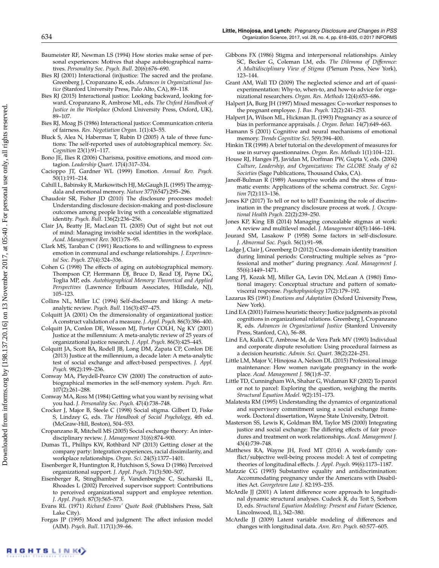- <span id="page-17-15"></span>Baumeister RF, Newman LS (1994) How stories make sense of personal experiences: Motives that shape autobiographical narratives. *Personality Soc. Psych. Bull.* 20(6):676–690.
- <span id="page-17-23"></span>Bies RJ (2001) Interactional (in)justice: The sacred and the profane. Greenberg J, Cropanzano R, eds. *Advances in Organizational Justice* (Stanford University Press, Palo Alto, CA), 89–118.
- <span id="page-17-22"></span>Bies RJ (2015) Interactional justice: Looking backward, looking forward. Cropanzano R, Ambrose ML, eds. *The Oxford Handbook of Justice in the Workplace* (Oxford University Press, Oxford, UK), 89–107.
- <span id="page-17-25"></span>Bies RJ, Moag JS (1986) Interactional justice: Communication criteria of fairness. *Res. Negotiation Organ.* 1(1):43–55.
- <span id="page-17-16"></span>Bluck S, Alea N, Habermas T, Rubin D (2005) A tale of three functions: The self-reported uses of autobiographical memory. *Soc. Cognition* 23(1):91–117.
- <span id="page-17-19"></span>Bono JE, Ilies R (2006) Charisma, positive emotions, and mood contagion. *Leadership Quart.* 17(4):317–334.
- <span id="page-17-40"></span>Cacioppo JT, Gardner WL (1999) Emotion. *Annual Rev. Psych.* 50(1):191–214.
- <span id="page-17-38"></span>Cahill L, Babinsky R, Markowitsch HJ, McGaugh JL (1995) The amygdala and emotional memory. *Nature* 377(6547):295–296.
- <span id="page-17-10"></span>Chaudoir SR, Fisher JD (2010) The disclosure processes model: Understanding disclosure decision-making and post-disclosure outcomes among people living with a concealable stigmatized identity. *Psych. Bull.* 136(2):236–256.
- <span id="page-17-33"></span>Clair JA, Beatty JE, MacLean TL (2005) Out of sight but not out of mind: Managing invisible social identities in the workplace. *Acad. Management Rev.* 30(1):78–95.
- <span id="page-17-18"></span>Clark MS, Taraban C (1991) Reactions to and willingness to express emotion in communal and exchange relationships. *J. Experimental Soc. Psych.* 27(4):324–336.
- <span id="page-17-17"></span>Cohen G (1998) The effects of aging on autobiographical memory. Thompson CP, Herrmann DJ, Bruce D, Read DJ, Payne DG, Toglia MP, eds. *Autobiographical Memory: Theoretical and Applied Perspectives* (Lawrence Erlbaum Associates, Hillsdale, NJ), 105–123.
- <span id="page-17-3"></span>Collins NL, Miller LC (1994) Self-disclosure and liking: A metaanalytic review. *Psych. Bull.* 116(3):457–475.
- <span id="page-17-6"></span>Colquitt JA (2001) On the dimensionality of organizational justice: A construct validation of a measure. *J. Appl. Psych.* 86(3):386–400.
- <span id="page-17-27"></span>Colquitt JA, Conlon DE, Wesson MJ, Porter COLH, Ng KY (2001) Justice at the millennium: A meta-analytic review of 25 years of organizational justice research. *J. Appl. Psych.* 86(3):425–445.
- <span id="page-17-29"></span>Colquitt JA, Scott BA, Rodell JB, Long DM, Zapata CP, Conlon DE (2013) Justice at the millennium, a decade later: A meta-analytic test of social exchange and affect-based perspectives. *J. Appl. Psych.* 98(2):199–236.
- <span id="page-17-14"></span>Conway MA, Pleydell-Pearce CW (2000) The construction of autobiographical memories in the self-memory system. *Psych. Rev.* 107(2):261–288.
- <span id="page-17-41"></span>Conway MA, Ross M (1984) Getting what you want by revising what you had. *J. Personality Soc. Psych.* 47(4):738–748.
- <span id="page-17-13"></span>Crocker J, Major B, Steele C (1998) Social stigma. Gilbert D, Fiske S, Lindzey G, eds. *The Handbook of Social Psychology*, 4th ed. (McGraw-Hill, Boston), 504–553.
- <span id="page-17-12"></span>Cropanzano R, Mitchell MS (2005) Social exchange theory: An interdisciplinary review. *J. Management* 31(6):874–900.
- <span id="page-17-4"></span>Dumas TL, Phillips KW, Rothbard NP (2013) Getting closer at the company party: Integration experiences, racial dissimilarity, and workplace relationships. *Organ. Sci.* 24(5):1377–1401.
- <span id="page-17-31"></span>Eisenberger R, Huntington R, Hutchison S, Sowa D (1986) Perceived organizational support. *J. Appl. Psych.* 71(3):500–507.
- <span id="page-17-2"></span>Eisenberger R, Stinglhamber F, Vandenberghe C, Sucharski IL, Rhoades L (2002) Perceived supervisor support: Contributions to perceived organizational support and employee retention. *J. Appl. Psych.* 87(3):565–573.
- <span id="page-17-47"></span>Evans RL (1971) *Richard Evans' Quote Book* (Publishers Press, Salt Lake City).
- <span id="page-17-20"></span>Forgas JP (1995) Mood and judgment: The affect infusion model (AIM). *Psych. Bull.* 117(1):39–66.
- <span id="page-17-34"></span>Gibbons FX (1986) Stigma and interpersonal relationships. Ainley SC, Becker G, Coleman LM, eds. *The Dilemma of Difference: A Multidisciplinary View of Stigma* (Plenum Press, New York), 123–144.
- <span id="page-17-45"></span>Grant AM, Wall TD (2009) The neglected science and art of quasiexperimentation: Why-to, when-to, and how-to advice for organizational researchers. *Organ. Res. Methods* 12(4):653–686.
- <span id="page-17-9"></span>Halpert JA, Burg JH (1997) Mixed messages: Co-worker responses to the pregnant employee. *J. Bus. Psych.* 12(2):241–253.
- <span id="page-17-7"></span>Halpert JA, Wilson ML, Hickman JL (1993) Pregnancy as a source of bias in performance appraisals. *J. Organ. Behav.* 14(7):649–663.
- <span id="page-17-39"></span>Hamann S (2001) Cognitive and neural mechanisms of emotional memory. *Trends Cognitive Sci.* 5(9):394–400.
- <span id="page-17-32"></span>Hinkin TR (1998) A brief tutorial on the development of measures for use in survey questionnaires. *Organ. Res. Methods* 1(1):104–121.
- <span id="page-17-44"></span>House RJ, Hanges PJ, Javidan M, Dorfman PW, Gupta V, eds. (2004) *Culture, Leadership, and Organizations: The GLOBE Study of 62 Societies* (Sage Publications, Thousand Oaks, CA).
- <span id="page-17-42"></span>Janoff-Bulman R (1989) Assumptive worlds and the stress of traumatic events: Applications of the schema construct. *Soc. Cognition* 7(2):113–136.
- <span id="page-17-43"></span>Jones KP (2017) To tell or not to tell? Examining the role of discrimination in the pregnancy disclosure process at work. *J. Occupational Health Psych.* 22(2):239–250.
- <span id="page-17-11"></span>Jones KP, King EB (2014) Managing concealable stigmas at work: A review and multilevel model. *J. Management* 40(5):1466–1494.
- <span id="page-17-5"></span>Jourard SM, Lasakow P (1958) Some factors in self-disclosure. *J. Abnormal Soc. Psych.* 56(1):91–98.
- <span id="page-17-46"></span>Ladge J, Clair J, Greenberg D (2012) Cross-domain identity transition during liminal periods: Constructing multiple selves as "professional and mother" during pregnancy. *Acad. Management J.* 55(6):1449–1471.
- <span id="page-17-21"></span>Lang PJ, Kozak MJ, Miller GA, Levin DN, McLean A (1980) Emotional imagery: Conceptual structure and pattern of somatovisceral response. *Psychophysiology* 17(2):179–192.
- <span id="page-17-30"></span>Lazarus RS (1991) *Emotions and Adaptation* (Oxford University Press, New York).
- <span id="page-17-0"></span>Lind EA (2001) Fairness heuristic theory: Justice judgments as pivotal cognitions in organizational relations. Greenberg J, Cropanzano R, eds. *Advances in Organizational Justice* (Stanford University Press, Stanford, CA), 56–88.
- <span id="page-17-28"></span>Lind EA, Kulik CT, Ambrose M, de Vera Park MV (1993) Individual and corporate dispute resolution: Using procedural fairness as a decision heuristic. *Admin. Sci. Quart.* 38(2):224–251.
- <span id="page-17-8"></span>Little LM, Major V, Hinojosa A, Nelson DL (2015) Professional image maintenance: How women navigate pregnancy in the workplace. *Acad. Management J.* 58(1):8–37.
- <span id="page-17-37"></span>Little TD, Cunningham WA, Shahar G, Widaman KF (2002) To parcel or not to parcel: Exploring the question, weighing the merits. *Structural Equation Model.* 9(2):151–173.
- <span id="page-17-1"></span>Malatesta RM (1995) Understanding the dynamics of organizational and supervisory commitment using a social exchange framework. Doctoral dissertation, Wayne State University, Detroit.
- <span id="page-17-26"></span>Masterson SS, Lewis K, Goldman BM, Taylor MS (2000) Integrating justice and social exchange: The differing effects of fair procedures and treatment on work relationships. *Acad. Management J.* 43(4):739–748.
- <span id="page-17-48"></span>Matthews RA, Wayne JH, Ford MT (2014) A work-family conflict/subjective well-being process model: A test of competing theories of longitudinal effects. *J. Appl. Psych.* 99(6):1173–1187.
- <span id="page-17-24"></span>Matzzie CG (1993) Substantive equality and antidiscrimination: Accommodating pregnancy under the Americans with Disabilities Act. *Georgetown Law J.* 82:193–235.
- <span id="page-17-35"></span>McArdle JJ (2001) A latent difference score approach to longitudinal dynamic structural analyses. Cudeck R, du Toit S, Sorbom D, eds. *Structural Equation Modeling: Present and Future* (Science, Lincolnwood, IL), 342–380.
- <span id="page-17-36"></span>McArdle JJ (2009) Latent variable modeling of differences and changes with longitudinal data. *Ann. Rev. Psych.* 60:577–605.